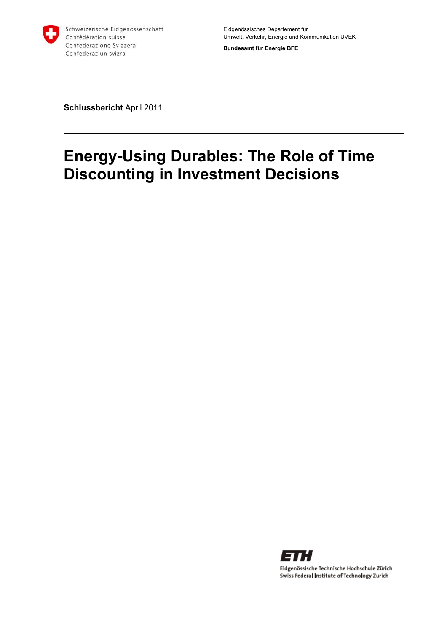

**Bundesamt für Energie BFE** 

**Schlussbericht** April 2011

# **Energy-Using Durables: The Role of Time Discounting in Investment Decisions**

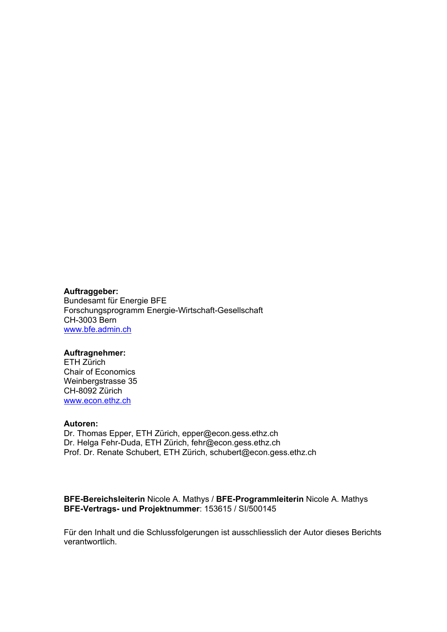#### **Auftraggeber:**

Bundesamt für Energie BFE Forschungsprogramm Energie-Wirtschaft-Gesellschaft CH-3003 Bern www.bfe.admin.ch

#### **Auftragnehmer:**

ETH Zürich Chair of Economics Weinbergstrasse 35 CH-8092 Zürich www.econ.ethz.ch

#### **Autoren:**

Dr. Thomas Epper, ETH Zürich, epper@econ.gess.ethz.ch Dr. Helga Fehr-Duda, ETH Zürich, fehr@econ.gess.ethz.ch Prof. Dr. Renate Schubert, ETH Zürich, schubert@econ.gess.ethz.ch

#### **BFE-Bereichsleiterin** Nicole A. Mathys / **BFE-Programmleiterin** Nicole A. Mathys **BFE-Vertrags- und Projektnummer**: 153615 / SI/500145

Für den Inhalt und die Schlussfolgerungen ist ausschliesslich der Autor dieses Berichts verantwortlich.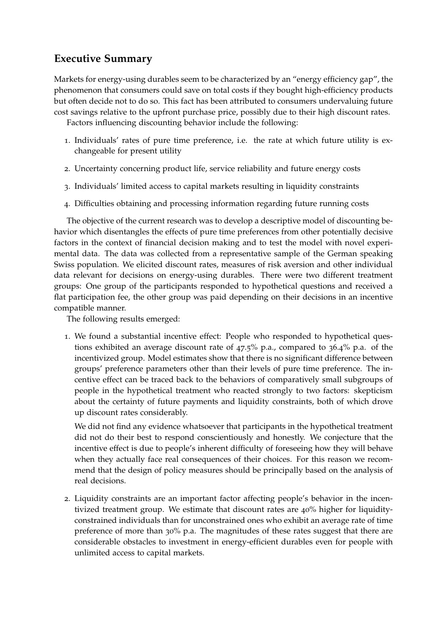### **Executive Summary**

Markets for energy-using durables seem to be characterized by an "energy efficiency gap", the phenomenon that consumers could save on total costs if they bought high-efficiency products but often decide not to do so. This fact has been attributed to consumers undervaluing future cost savings relative to the upfront purchase price, possibly due to their high discount rates.

Factors influencing discounting behavior include the following:

- 1. Individuals' rates of pure time preference, i.e. the rate at which future utility is exchangeable for present utility
- 2. Uncertainty concerning product life, service reliability and future energy costs
- 3. Individuals' limited access to capital markets resulting in liquidity constraints
- 4. Difficulties obtaining and processing information regarding future running costs

The objective of the current research was to develop a descriptive model of discounting behavior which disentangles the effects of pure time preferences from other potentially decisive factors in the context of financial decision making and to test the model with novel experimental data. The data was collected from a representative sample of the German speaking Swiss population. We elicited discount rates, measures of risk aversion and other individual data relevant for decisions on energy-using durables. There were two different treatment groups: One group of the participants responded to hypothetical questions and received a flat participation fee, the other group was paid depending on their decisions in an incentive compatible manner.

The following results emerged:

1. We found a substantial incentive effect: People who responded to hypothetical questions exhibited an average discount rate of 47.5% p.a., compared to 36.4% p.a. of the incentivized group. Model estimates show that there is no significant difference between groups' preference parameters other than their levels of pure time preference. The incentive effect can be traced back to the behaviors of comparatively small subgroups of people in the hypothetical treatment who reacted strongly to two factors: skepticism about the certainty of future payments and liquidity constraints, both of which drove up discount rates considerably.

We did not find any evidence whatsoever that participants in the hypothetical treatment did not do their best to respond conscientiously and honestly. We conjecture that the incentive effect is due to people's inherent difficulty of foreseeing how they will behave when they actually face real consequences of their choices. For this reason we recommend that the design of policy measures should be principally based on the analysis of real decisions.

2. Liquidity constraints are an important factor affecting people's behavior in the incentivized treatment group. We estimate that discount rates are 40% higher for liquidityconstrained individuals than for unconstrained ones who exhibit an average rate of time preference of more than 30% p.a. The magnitudes of these rates suggest that there are considerable obstacles to investment in energy-efficient durables even for people with unlimited access to capital markets.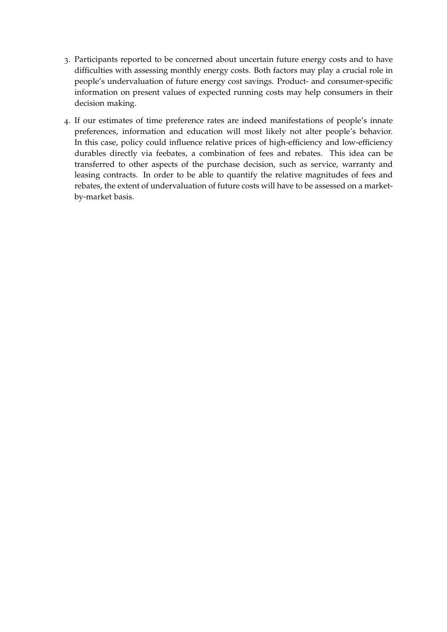- 3. Participants reported to be concerned about uncertain future energy costs and to have difficulties with assessing monthly energy costs. Both factors may play a crucial role in people's undervaluation of future energy cost savings. Product- and consumer-specific information on present values of expected running costs may help consumers in their decision making.
- 4. If our estimates of time preference rates are indeed manifestations of people's innate preferences, information and education will most likely not alter people's behavior. In this case, policy could influence relative prices of high-efficiency and low-efficiency durables directly via feebates, a combination of fees and rebates. This idea can be transferred to other aspects of the purchase decision, such as service, warranty and leasing contracts. In order to be able to quantify the relative magnitudes of fees and rebates, the extent of undervaluation of future costs will have to be assessed on a marketby-market basis.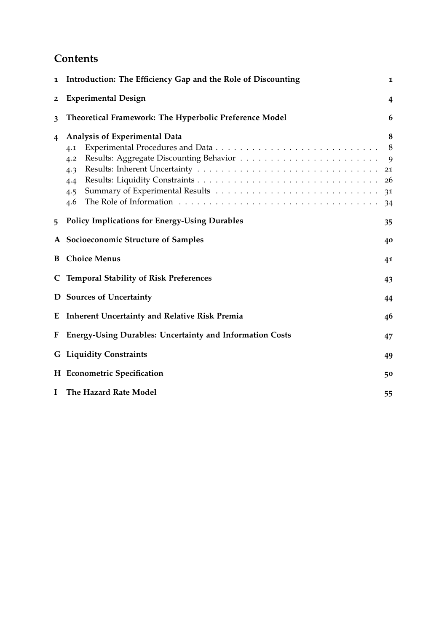## **Contents**

| 1              | Introduction: The Efficiency Gap and the Role of Discounting<br>1       |                                     |  |  |  |
|----------------|-------------------------------------------------------------------------|-------------------------------------|--|--|--|
| $\overline{2}$ | <b>Experimental Design</b>                                              | 4                                   |  |  |  |
| 3              | Theoretical Framework: The Hyperbolic Preference Model                  | 6                                   |  |  |  |
| 4              | Analysis of Experimental Data<br>4.1<br>4.2<br>4.3<br>4.4<br>4.5<br>4.6 | 8<br>8<br>9<br>21<br>26<br>31<br>34 |  |  |  |
| 5              | <b>Policy Implications for Energy-Using Durables</b>                    | 35                                  |  |  |  |
|                | A Socioeconomic Structure of Samples<br>40                              |                                     |  |  |  |
| B              | <b>Choice Menus</b><br>41                                               |                                     |  |  |  |
| C              | <b>Temporal Stability of Risk Preferences</b><br>43                     |                                     |  |  |  |
|                | D Sources of Uncertainty                                                | 44                                  |  |  |  |
| E              | <b>Inherent Uncertainty and Relative Risk Premia</b>                    | 46                                  |  |  |  |
| F              | <b>Energy-Using Durables: Uncertainty and Information Costs</b>         | 47                                  |  |  |  |
|                | <b>G</b> Liquidity Constraints                                          | 49                                  |  |  |  |
|                | H Econometric Specification                                             | 50                                  |  |  |  |
| $\mathbf I$    | The Hazard Rate Model<br>55                                             |                                     |  |  |  |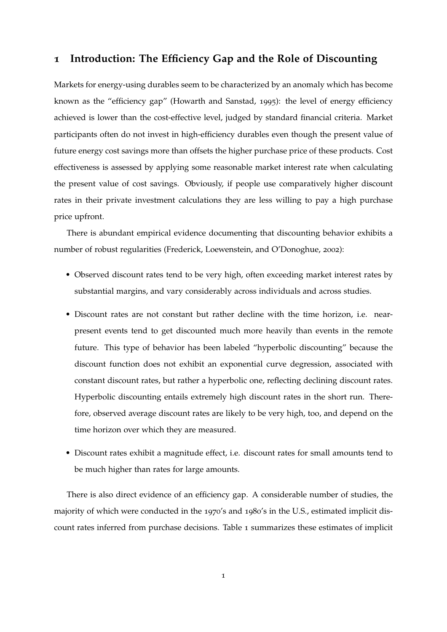### <span id="page-5-0"></span>**1 Introduction: The Efficiency Gap and the Role of Discounting**

Markets for energy-using durables seem to be characterized by an anomaly which has become known as the "efficiency gap" [\(Howarth and Sanstad,](#page-63-0) [1995](#page-63-0)): the level of energy efficiency achieved is lower than the cost-effective level, judged by standard financial criteria. Market participants often do not invest in high-efficiency durables even though the present value of future energy cost savings more than offsets the higher purchase price of these products. Cost effectiveness is assessed by applying some reasonable market interest rate when calculating the present value of cost savings. Obviously, if people use comparatively higher discount rates in their private investment calculations they are less willing to pay a high purchase price upfront.

There is abundant empirical evidence documenting that discounting behavior exhibits a number of robust regularities [\(Frederick, Loewenstein, and O'Donoghue,](#page-62-0) [2002](#page-62-0)):

- Observed discount rates tend to be very high, often exceeding market interest rates by substantial margins, and vary considerably across individuals and across studies.
- Discount rates are not constant but rather decline with the time horizon, i.e. nearpresent events tend to get discounted much more heavily than events in the remote future. This type of behavior has been labeled "hyperbolic discounting" because the discount function does not exhibit an exponential curve degression, associated with constant discount rates, but rather a hyperbolic one, reflecting declining discount rates. Hyperbolic discounting entails extremely high discount rates in the short run. Therefore, observed average discount rates are likely to be very high, too, and depend on the time horizon over which they are measured.
- Discount rates exhibit a magnitude effect, i.e. discount rates for small amounts tend to be much higher than rates for large amounts.

There is also direct evidence of an efficiency gap. A considerable number of studies, the majority of which were conducted in the 1970's and 1980's in the U.S., estimated implicit discount rates inferred from purchase decisions. Table [1](#page-6-0) summarizes these estimates of implicit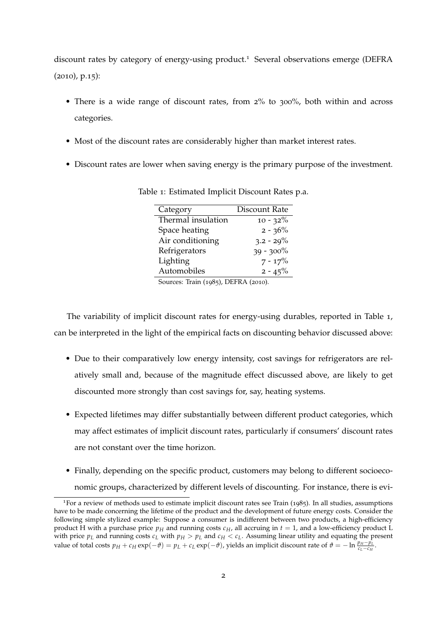discount rates by category of energy-using product.<sup>1</sup> Several observations emerge [\(DEFRA](#page-62-1) ([2010](#page-62-1)), p.15):

- There is a wide range of discount rates, from 2% to 300%, both within and across categories.
- Most of the discount rates are considerably higher than market interest rates.
- <span id="page-6-0"></span>• Discount rates are lower when saving energy is the primary purpose of the investment.

| Category                    | Discount Rate |
|-----------------------------|---------------|
| Thermal insulation          | $10 - 32\%$   |
| Space heating               | $2 - 36\%$    |
| Air conditioning            | $3.2 - 29\%$  |
| Refrigerators               | $39 - 300\%$  |
| Lighting                    | $7 - 17\%$    |
| Automobiles                 | $2 - 45\%$    |
| $\sim$ $\sim$<br>$\epsilon$ |               |

Table 1: Estimated Implicit Discount Rates p.a.

Sources: [Train](#page-64-0) ([1985](#page-64-0)), [DEFRA](#page-62-1) ([2010](#page-62-1)).

The variability of implicit discount rates for energy-using durables, reported in Table [1](#page-6-0), can be interpreted in the light of the empirical facts on discounting behavior discussed above:

- Due to their comparatively low energy intensity, cost savings for refrigerators are relatively small and, because of the magnitude effect discussed above, are likely to get discounted more strongly than cost savings for, say, heating systems.
- Expected lifetimes may differ substantially between different product categories, which may affect estimates of implicit discount rates, particularly if consumers' discount rates are not constant over the time horizon.
- Finally, depending on the specific product, customers may belong to different socioeconomic groups, characterized by different levels of discounting. For instance, there is evi-

<sup>1</sup>For a review of methods used to estimate implicit discount rates see [Train](#page-64-0) ([1985](#page-64-0)). In all studies, assumptions have to be made concerning the lifetime of the product and the development of future energy costs. Consider the following simple stylized example: Suppose a consumer is indifferent between two products, a high-efficiency product H with a purchase price  $p_H$  and running costs  $c_H$ , all accruing in  $t = 1$ , and a low-efficiency product L with price  $p_L$  and running costs  $c_L$  with  $p_H > p_L$  and  $c_H < c_L$ . Assuming linear utility and equating the present value of total costs  $p_H + c_H \exp(-\theta) = p_L + c_L \exp(-\theta)$ , yields an implicit discount rate of  $\theta = -\ln \frac{p_H - p_L}{c_L - c_H}$ .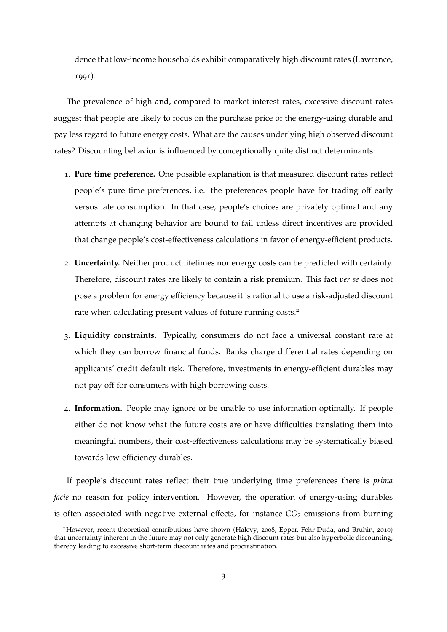dence that low-income households exhibit comparatively high discount rates [\(Lawrance,](#page-63-1) [1991](#page-63-1)).

The prevalence of high and, compared to market interest rates, excessive discount rates suggest that people are likely to focus on the purchase price of the energy-using durable and pay less regard to future energy costs. What are the causes underlying high observed discount rates? Discounting behavior is influenced by conceptionally quite distinct determinants:

- 1. **Pure time preference.** One possible explanation is that measured discount rates reflect people's pure time preferences, i.e. the preferences people have for trading off early versus late consumption. In that case, people's choices are privately optimal and any attempts at changing behavior are bound to fail unless direct incentives are provided that change people's cost-effectiveness calculations in favor of energy-efficient products.
- 2. **Uncertainty.** Neither product lifetimes nor energy costs can be predicted with certainty. Therefore, discount rates are likely to contain a risk premium. This fact *per se* does not pose a problem for energy efficiency because it is rational to use a risk-adjusted discount rate when calculating present values of future running costs.<sup>2</sup>
- 3. **Liquidity constraints.** Typically, consumers do not face a universal constant rate at which they can borrow financial funds. Banks charge differential rates depending on applicants' credit default risk. Therefore, investments in energy-efficient durables may not pay off for consumers with high borrowing costs.
- 4. **Information.** People may ignore or be unable to use information optimally. If people either do not know what the future costs are or have difficulties translating them into meaningful numbers, their cost-effectiveness calculations may be systematically biased towards low-efficiency durables.

If people's discount rates reflect their true underlying time preferences there is *prima facie* no reason for policy intervention. However, the operation of energy-using durables is often associated with negative external effects, for instance  $CO<sub>2</sub>$  emissions from burning

<sup>2</sup>However, recent theoretical contributions have shown [\(Halevy,](#page-62-2) [2008](#page-62-2); [Epper, Fehr-Duda, and Bruhin,](#page-62-3) [2010](#page-62-3)) that uncertainty inherent in the future may not only generate high discount rates but also hyperbolic discounting, thereby leading to excessive short-term discount rates and procrastination.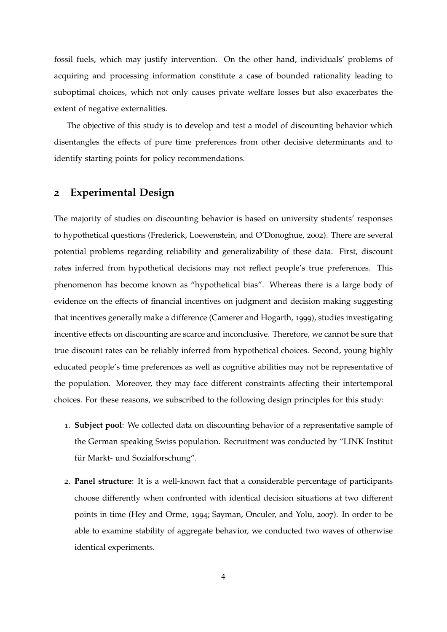fossil fuels, which may justify intervention. On the other hand, individuals' problems of acquiring and processing information constitute a case of bounded rationality leading to suboptimal choices, which not only causes private welfare losses but also exacerbates the extent of negative externalities.

The objective of this study is to develop and test a model of discounting behavior which disentangles the effects of pure time preferences from other decisive determinants and to identify starting points for policy recommendations.

### <span id="page-8-0"></span>**2 Experimental Design**

The majority of studies on discounting behavior is based on university students' responses to hypothetical questions [\(Frederick, Loewenstein, and O'Donoghue,](#page-62-0) [2002](#page-62-0)). There are several potential problems regarding reliability and generalizability of these data. First, discount rates inferred from hypothetical decisions may not reflect people's true preferences. This phenomenon has become known as "hypothetical bias". Whereas there is a large body of evidence on the effects of financial incentives on judgment and decision making suggesting that incentives generally make a difference [\(Camerer and Hogarth,](#page-62-4) [1999](#page-62-4)), studies investigating incentive effects on discounting are scarce and inconclusive. Therefore, we cannot be sure that true discount rates can be reliably inferred from hypothetical choices. Second, young highly educated people's time preferences as well as cognitive abilities may not be representative of the population. Moreover, they may face different constraints affecting their intertemporal choices. For these reasons, we subscribed to the following design principles for this study:

- 1. **Subject pool**: We collected data on discounting behavior of a representative sample of the German speaking Swiss population. Recruitment was conducted by "LINK Institut für Markt- und Sozialforschung".
- 2. **Panel structure**: It is a well-known fact that a considerable percentage of participants choose differently when confronted with identical decision situations at two different points in time [\(Hey and Orme,](#page-62-5) [1994](#page-62-5); [Sayman, Onculer, and Yolu,](#page-63-2) [2007](#page-63-2)). In order to be able to examine stability of aggregate behavior, we conducted two waves of otherwise identical experiments.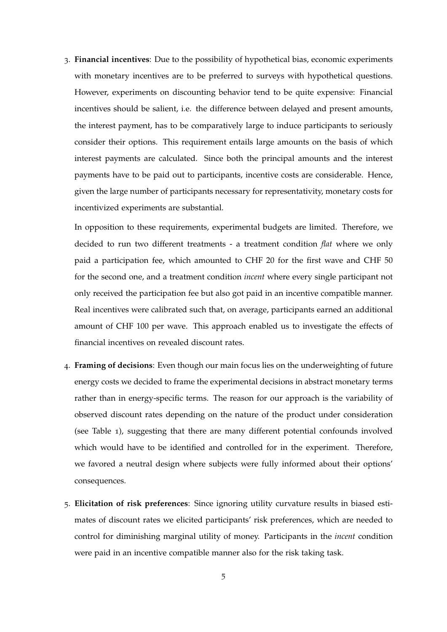3. **Financial incentives**: Due to the possibility of hypothetical bias, economic experiments with monetary incentives are to be preferred to surveys with hypothetical questions. However, experiments on discounting behavior tend to be quite expensive: Financial incentives should be salient, i.e. the difference between delayed and present amounts, the interest payment, has to be comparatively large to induce participants to seriously consider their options. This requirement entails large amounts on the basis of which interest payments are calculated. Since both the principal amounts and the interest payments have to be paid out to participants, incentive costs are considerable. Hence, given the large number of participants necessary for representativity, monetary costs for incentivized experiments are substantial.

In opposition to these requirements, experimental budgets are limited. Therefore, we decided to run two different treatments - a treatment condition *flat* where we only paid a participation fee, which amounted to CHF 20 for the first wave and CHF 50 for the second one, and a treatment condition *incent* where every single participant not only received the participation fee but also got paid in an incentive compatible manner. Real incentives were calibrated such that, on average, participants earned an additional amount of CHF 100 per wave. This approach enabled us to investigate the effects of financial incentives on revealed discount rates.

- 4. **Framing of decisions**: Even though our main focus lies on the underweighting of future energy costs we decided to frame the experimental decisions in abstract monetary terms rather than in energy-specific terms. The reason for our approach is the variability of observed discount rates depending on the nature of the product under consideration (see Table [1](#page-6-0)), suggesting that there are many different potential confounds involved which would have to be identified and controlled for in the experiment. Therefore, we favored a neutral design where subjects were fully informed about their options' consequences.
- 5. **Elicitation of risk preferences**: Since ignoring utility curvature results in biased estimates of discount rates we elicited participants' risk preferences, which are needed to control for diminishing marginal utility of money. Participants in the *incent* condition were paid in an incentive compatible manner also for the risk taking task.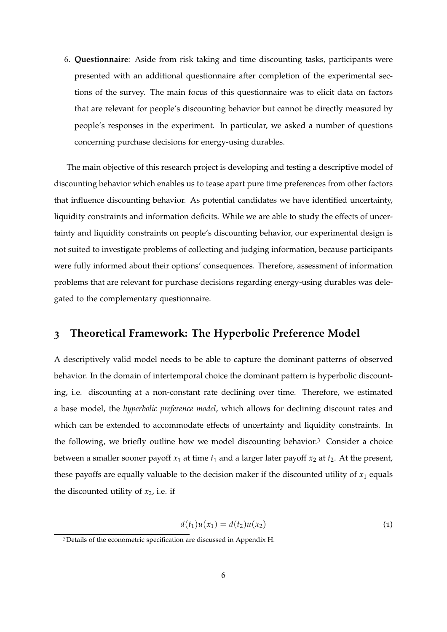6. **Questionnaire**: Aside from risk taking and time discounting tasks, participants were presented with an additional questionnaire after completion of the experimental sections of the survey. The main focus of this questionnaire was to elicit data on factors that are relevant for people's discounting behavior but cannot be directly measured by people's responses in the experiment. In particular, we asked a number of questions concerning purchase decisions for energy-using durables.

The main objective of this research project is developing and testing a descriptive model of discounting behavior which enables us to tease apart pure time preferences from other factors that influence discounting behavior. As potential candidates we have identified uncertainty, liquidity constraints and information deficits. While we are able to study the effects of uncertainty and liquidity constraints on people's discounting behavior, our experimental design is not suited to investigate problems of collecting and judging information, because participants were fully informed about their options' consequences. Therefore, assessment of information problems that are relevant for purchase decisions regarding energy-using durables was delegated to the complementary questionnaire.

### <span id="page-10-0"></span>**3 Theoretical Framework: The Hyperbolic Preference Model**

A descriptively valid model needs to be able to capture the dominant patterns of observed behavior. In the domain of intertemporal choice the dominant pattern is hyperbolic discounting, i.e. discounting at a non-constant rate declining over time. Therefore, we estimated a base model, the *hyperbolic preference model*, which allows for declining discount rates and which can be extended to accommodate effects of uncertainty and liquidity constraints. In the following, we briefly outline how we model discounting behavior.3 Consider a choice between a smaller sooner payoff  $x_1$  at time  $t_1$  and a larger later payoff  $x_2$  at  $t_2$ . At the present, these payoffs are equally valuable to the decision maker if the discounted utility of  $x_1$  equals the discounted utility of  $x_2$ , i.e. if

$$
d(t_1)u(x_1) = d(t_2)u(x_2)
$$
 (1)

<span id="page-10-1"></span><sup>3</sup>Details of the econometric specification are discussed in Appendix [H.](#page-54-0)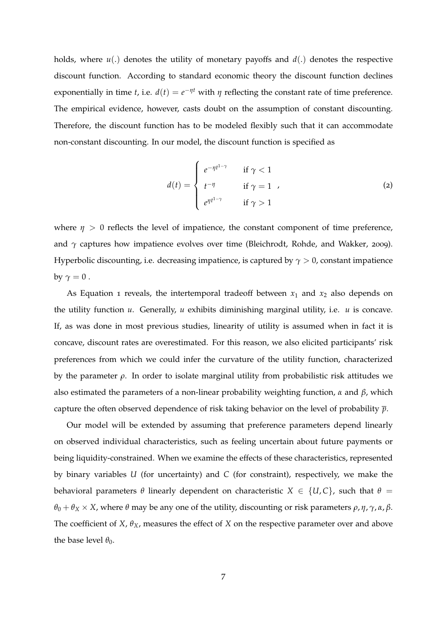holds, where *u*(.) denotes the utility of monetary payoffs and *d*(.) denotes the respective discount function. According to standard economic theory the discount function declines exponentially in time *t*, i.e.  $d(t) = e^{-\eta t}$  with  $\eta$  reflecting the constant rate of time preference. The empirical evidence, however, casts doubt on the assumption of constant discounting. Therefore, the discount function has to be modeled flexibly such that it can accommodate non-constant discounting. In our model, the discount function is specified as

$$
d(t) = \begin{cases} e^{-\eta t^{1-\gamma}} & \text{if } \gamma < 1\\ t^{-\eta} & \text{if } \gamma = 1\\ e^{\eta t^{1-\gamma}} & \text{if } \gamma > 1 \end{cases}
$$
 (2)

where  $\eta > 0$  reflects the level of impatience, the constant component of time preference, and  $\gamma$  captures how impatience evolves over time [\(Bleichrodt, Rohde, and Wakker,](#page-62-6) [2009](#page-62-6)). Hyperbolic discounting, i.e. decreasing impatience, is captured by  $\gamma > 0$ , constant impatience by  $\gamma = 0$ .

As Equation [1](#page-10-1) reveals, the intertemporal tradeoff between  $x_1$  and  $x_2$  also depends on the utility function  $u$ . Generally,  $u$  exhibits diminishing marginal utility, i.e.  $u$  is concave. If, as was done in most previous studies, linearity of utility is assumed when in fact it is concave, discount rates are overestimated. For this reason, we also elicited participants' risk preferences from which we could infer the curvature of the utility function, characterized by the parameter  $\rho$ . In order to isolate marginal utility from probabilistic risk attitudes we also estimated the parameters of a non-linear probability weighting function,  $\alpha$  and  $\beta$ , which capture the often observed dependence of risk taking behavior on the level of probability *p*.

Our model will be extended by assuming that preference parameters depend linearly on observed individual characteristics, such as feeling uncertain about future payments or being liquidity-constrained. When we examine the effects of these characteristics, represented by binary variables *U* (for uncertainty) and *C* (for constraint), respectively, we make the behavioral parameters  $\theta$  linearly dependent on characteristic  $X \in \{U, C\}$ , such that  $\theta =$  $\theta_0 + \theta_X \times X$ , where  $\theta$  may be any one of the utility, discounting or risk parameters  $\rho$ ,  $\eta$ ,  $\gamma$ ,  $\alpha$ ,  $\beta$ . The coefficient of *X*,  $\theta_X$ , measures the effect of *X* on the respective parameter over and above the base level  $\theta_0$ .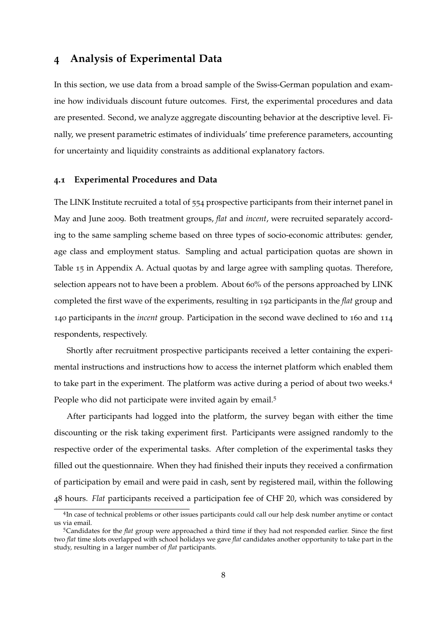#### <span id="page-12-0"></span>**4 Analysis of Experimental Data**

In this section, we use data from a broad sample of the Swiss-German population and examine how individuals discount future outcomes. First, the experimental procedures and data are presented. Second, we analyze aggregate discounting behavior at the descriptive level. Finally, we present parametric estimates of individuals' time preference parameters, accounting for uncertainty and liquidity constraints as additional explanatory factors.

#### <span id="page-12-1"></span>**4.1 Experimental Procedures and Data**

The LINK Institute recruited a total of 554 prospective participants from their internet panel in May and June 2009. Both treatment groups, *flat* and *incent*, were recruited separately according to the same sampling scheme based on three types of socio-economic attributes: gender, age class and employment status. Sampling and actual participation quotas are shown in Table [15](#page-44-1) in Appendix [A.](#page-44-0) Actual quotas by and large agree with sampling quotas. Therefore, selection appears not to have been a problem. About 60% of the persons approached by LINK completed the first wave of the experiments, resulting in 192 participants in the *flat* group and 140 participants in the *incent* group. Participation in the second wave declined to 160 and 114 respondents, respectively.

Shortly after recruitment prospective participants received a letter containing the experimental instructions and instructions how to access the internet platform which enabled them to take part in the experiment. The platform was active during a period of about two weeks.4 People who did not participate were invited again by email.<sup>5</sup>

After participants had logged into the platform, the survey began with either the time discounting or the risk taking experiment first. Participants were assigned randomly to the respective order of the experimental tasks. After completion of the experimental tasks they filled out the questionnaire. When they had finished their inputs they received a confirmation of participation by email and were paid in cash, sent by registered mail, within the following 48 hours. *Flat* participants received a participation fee of CHF 20, which was considered by

<sup>4</sup>In case of technical problems or other issues participants could call our help desk number anytime or contact us via email.

<sup>5</sup>Candidates for the *flat* group were approached a third time if they had not responded earlier. Since the first two *flat* time slots overlapped with school holidays we gave *flat* candidates another opportunity to take part in the study, resulting in a larger number of *flat* participants.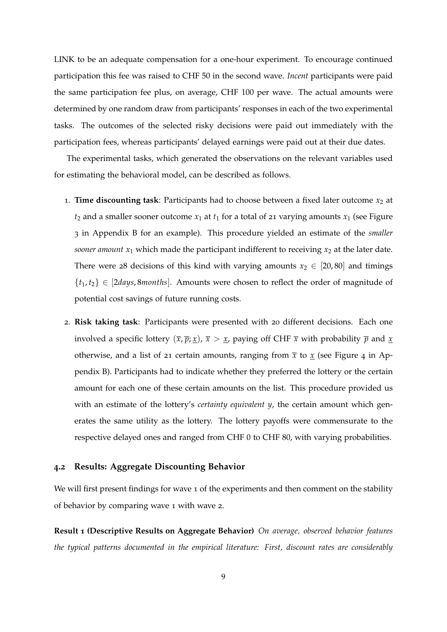LINK to be an adequate compensation for a one-hour experiment. To encourage continued participation this fee was raised to CHF 50 in the second wave. *Incent* participants were paid the same participation fee plus, on average, CHF 100 per wave. The actual amounts were determined by one random draw from participants' responses in each of the two experimental tasks. The outcomes of the selected risky decisions were paid out immediately with the participation fees, whereas participants' delayed earnings were paid out at their due dates.

The experimental tasks, which generated the observations on the relevant variables used for estimating the behavioral model, can be described as follows.

- 1. **Time discounting task**: Participants had to choose between a fixed later outcome *x*<sup>2</sup> at  $t_2$  and a smaller sooner outcome  $x_1$  at  $t_1$  for a total of 21 varying amounts  $x_1$  (see Figure [3](#page-45-1) in Appendix [B](#page-45-0) for an example). This procedure yielded an estimate of the *smaller sooner amount*  $x_1$  which made the participant indifferent to receiving  $x_2$  at the later date. There were 28 decisions of this kind with varying amounts  $x_2 \in [20, 80]$  and timings  ${t_1, t_2} \in [2 \text{days}, 8 \text{ months}]$ . Amounts were chosen to reflect the order of magnitude of potential cost savings of future running costs.
- 2. **Risk taking task**: Participants were presented with 20 different decisions. Each one involved a specific lottery  $(\bar{x}, \bar{p}; \underline{x})$ ,  $\bar{x} > \underline{x}$ , paying off CHF  $\bar{x}$  with probability  $\bar{p}$  and  $\underline{x}$ otherwise, and a list of 21 certain amounts, ranging from  $\bar{x}$  to  $\underline{x}$  (see Figure [4](#page-46-0) in Appendix [B\)](#page-45-0). Participants had to indicate whether they preferred the lottery or the certain amount for each one of these certain amounts on the list. This procedure provided us with an estimate of the lottery's *certainty equivalent y*, the certain amount which generates the same utility as the lottery. The lottery payoffs were commensurate to the respective delayed ones and ranged from CHF 0 to CHF 80, with varying probabilities.

#### <span id="page-13-0"></span>**4.2 Results: Aggregate Discounting Behavior**

We will first present findings for wave 1 of the experiments and then comment on the stability of behavior by comparing wave 1 with wave 2.

<span id="page-13-1"></span>**Result 1 (Descriptive Results on Aggregate Behavior)** *On average, observed behavior features the typical patterns documented in the empirical literature: First, discount rates are considerably*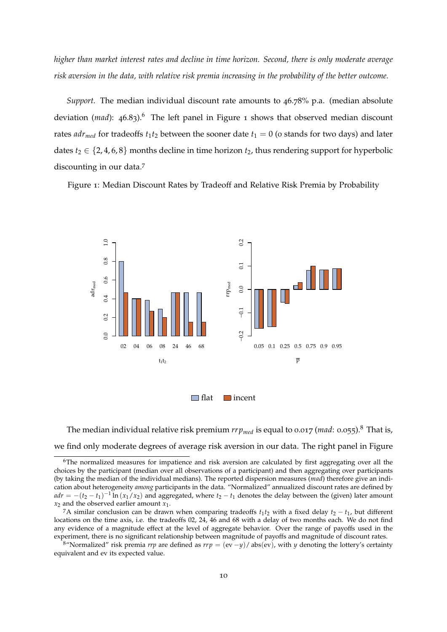*higher than market interest rates and decline in time horizon. Second, there is only moderate average risk aversion in the data, with relative risk premia increasing in the probability of the better outcome.*

*Support.* The median individual discount rate amounts to 46.78% p.a. (median absolute deviation (*mad*): 46.83).<sup>6</sup> The left panel in Figure [1](#page-14-0) shows that observed median discount rates  $adr_{med}$  for tradeoffs  $t_1t_2$  between the sooner date  $t_1 = 0$  (o stands for two days) and later dates  $t_2 \in \{2, 4, 6, 8\}$  months decline in time horizon  $t_2$ , thus rendering support for hyperbolic discounting in our data.7

<span id="page-14-0"></span>Figure 1: Median Discount Rates by Tradeoff and Relative Risk Premia by Probability



The median individual relative risk premium  $rrp_{med}$  is equal to 0.017 (*mad*: 0.055).<sup>8</sup> That is, we find only moderate degrees of average risk aversion in our data. The right panel in Figure

<sup>8</sup>"Normalized" risk premia *rrp* are defined as  $rrp = (ev - y)/abs(ev)$ , with *y* denoting the lottery's certainty equivalent and ev its expected value.

 $6$ The normalized measures for impatience and risk aversion are calculated by first aggregating over all the choices by the participant (median over all observations of a participant) and then aggregating over participants (by taking the median of the individual medians). The reported dispersion measures (*mad*) therefore give an indication about heterogeneity *among* participants in the data. "Normalized" annualized discount rates are defined by  $adr = -(t_2 - t_1)^{-1} \ln (x_1/x_2)$  and aggregated, where  $t_2 - t_1$  denotes the delay between the (given) later amount  $x_2$  and the observed earlier amount  $x_1$ .

<sup>&</sup>lt;sup>7</sup>A similar conclusion can be drawn when comparing tradeoffs  $t_1 t_2$  with a fixed delay  $t_2 - t_1$ , but different locations on the time axis, i.e. the tradeoffs 02, 24, 46 and 68 with a delay of two months each. We do not find any evidence of a magnitude effect at the level of aggregate behavior. Over the range of payoffs used in the experiment, there is no significant relationship between magnitude of payoffs and magnitude of discount rates.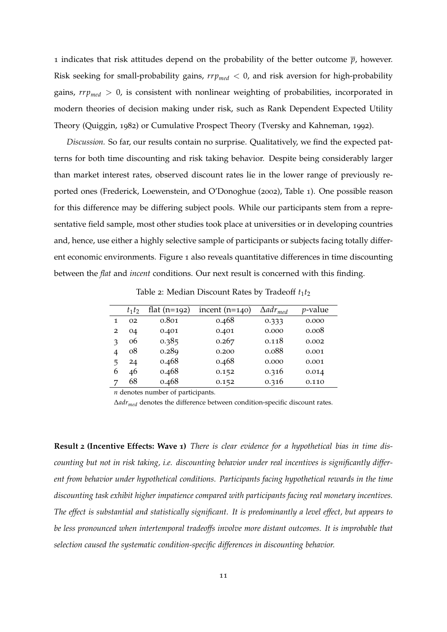[1](#page-14-0) indicates that risk attitudes depend on the probability of the better outcome  $\bar{p}$ , however. Risk seeking for small-probability gains,  $rrp_{med} < 0$ , and risk aversion for high-probability gains, *rrpmed >* 0, is consistent with nonlinear weighting of probabilities, incorporated in modern theories of decision making under risk, such as Rank Dependent Expected Utility Theory [\(Quiggin,](#page-63-3) [1982](#page-63-3)) or Cumulative Prospect Theory [\(Tversky and Kahneman,](#page-64-1) [1992](#page-64-1)).

*Discussion.* So far, our results contain no surprise. Qualitatively, we find the expected patterns for both time discounting and risk taking behavior. Despite being considerably larger than market interest rates, observed discount rates lie in the lower range of previously reported ones [\(Frederick, Loewenstein, and O'Donoghue](#page-62-0) ([2002](#page-62-0)), Table 1). One possible reason for this difference may be differing subject pools. While our participants stem from a representative field sample, most other studies took place at universities or in developing countries and, hence, use either a highly selective sample of participants or subjects facing totally different economic environments. Figure [1](#page-14-0) also reveals quantitative differences in time discounting between the *flat* and *incent* conditions. Our next result is concerned with this finding.

<span id="page-15-0"></span>

|               | $t_1t_2$ | flat $(n=192)$ | incent $(n=140)$ | $\Delta adr_{med}$ | $p$ -value |
|---------------|----------|----------------|------------------|--------------------|------------|
| 1             | 02       | 0.801          | 0.468            | 0.333              | 0.000      |
| 2             | 04       | 0.401          | 0.401            | 0.000              | 0.008      |
| $\mathcal{F}$ | 06       | 0.385          | 0.267            | 0.118              | 0.002      |
| 4             | 08       | 0.289          | 0.200            | 0.088              | 0.001      |
| 5             | 24       | 0.468          | 0.468            | 0.000              | 0.001      |
| 6             | 46       | 0.468          | 0.152            | 0.316              | 0.014      |
| 7             | 68       | 0.468          | 0.152            | 0.316              | 0.110      |

Table 2: Median Discount Rates by Tradeoff  $t_1t_2$ 

*n* denotes number of participants.

 $\Delta a dr_{med}$  denotes the difference between condition-specific discount rates.

**Result 2 (Incentive Effects: Wave 1)** *There is clear evidence for a hypothetical bias in time discounting but not in risk taking, i.e. discounting behavior under real incentives is significantly different from behavior under hypothetical conditions. Participants facing hypothetical rewards in the time discounting task exhibit higher impatience compared with participants facing real monetary incentives. The effect is substantial and statistically significant. It is predominantly a level effect, but appears to be less pronounced when intertemporal tradeoffs involve more distant outcomes. It is improbable that selection caused the systematic condition-specific differences in discounting behavior.*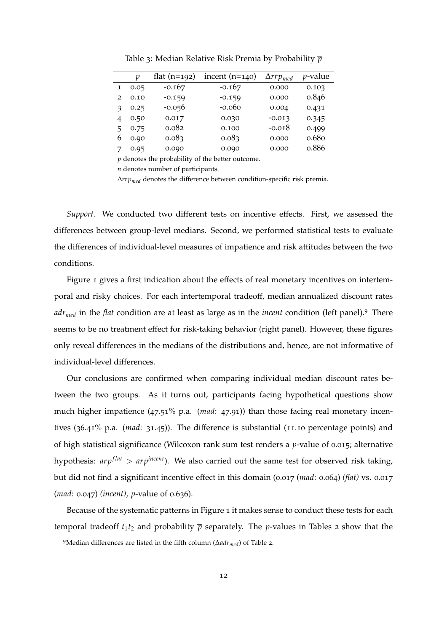|                | p    | flat $(n=192)$ | incent $(n=140)$ | $\Delta r r p_{med}$ | <i>p</i> -value |
|----------------|------|----------------|------------------|----------------------|-----------------|
|                | 0.05 | $-0.167$       | $-0.167$         | 0.000                | 0.103           |
| $\overline{2}$ | 0.10 | $-0.159$       | $-0.159$         | 0.000                | 0.846           |
|                | 0.25 | $-0.056$       | $-0.060$         | 0.004                | 0.431           |
|                | 0.50 | 0.017          | 0.030            | $-0.013$             | 0.345           |
| 5              | 0.75 | 0.082          | 0.100            | $-0.018$             | 0.499           |
| b              | 0.90 | 0.083          | 0.083            | 0.000                | 0.680           |
|                | 0.95 | 0.090          | 0.090            | 0.000                | 0.886           |

Table 3: Median Relative Risk Premia by Probability *p*

 $\bar{p}$  denotes the probability of the better outcome.

*n* denotes number of participants.

 $\Delta r r p_{med}$  denotes the difference between condition-specific risk premia.

*Support.* We conducted two different tests on incentive effects. First, we assessed the differences between group-level medians. Second, we performed statistical tests to evaluate the differences of individual-level measures of impatience and risk attitudes between the two conditions.

Figure [1](#page-14-0) gives a first indication about the effects of real monetary incentives on intertemporal and risky choices. For each intertemporal tradeoff, median annualized discount rates *adrmed* in the *flat* condition are at least as large as in the *incent* condition (left panel).9 There seems to be no treatment effect for risk-taking behavior (right panel). However, these figures only reveal differences in the medians of the distributions and, hence, are not informative of individual-level differences.

Our conclusions are confirmed when comparing individual median discount rates between the two groups. As it turns out, participants facing hypothetical questions show much higher impatience (47.51% p.a. (*mad*: 47.91)) than those facing real monetary incentives (36.41% p.a. (*mad*: 31.45)). The difference is substantial (11.10 percentage points) and of high statistical significance (Wilcoxon rank sum test renders a *p*-value of 0.015; alternative hypothesis: *arpflat > arpincent*). We also carried out the same test for observed risk taking, but did not find a significant incentive effect in this domain (0.017 (*mad*: 0.064) *(flat)* vs. 0.017 (*mad*: 0.047) *(incent)*, *p*-value of 0.636).

Because of the systematic patterns in Figure [1](#page-14-0) it makes sense to conduct these tests for each temporal tradeoff  $t_1t_2$  $t_1t_2$  and probability  $\bar{p}$  separately. The *p*-values in Tables 2 show that the

<sup>&</sup>lt;sup>9</sup>Median differences are listed in the fifth column ( $\Delta adr_{med}$ ) of Table [2](#page-15-0).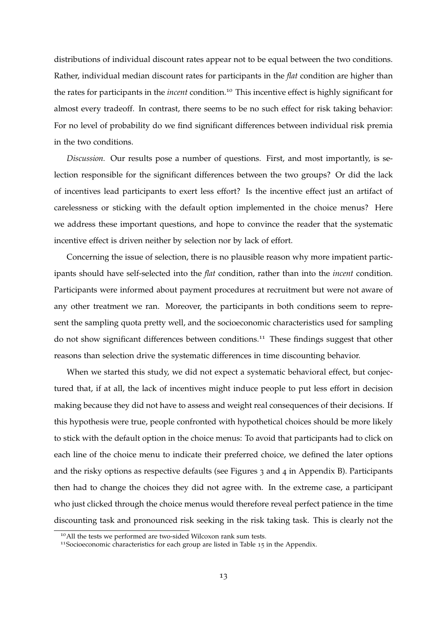distributions of individual discount rates appear not to be equal between the two conditions. Rather, individual median discount rates for participants in the *flat* condition are higher than the rates for participants in the *incent* condition.10 This incentive effect is highly significant for almost every tradeoff. In contrast, there seems to be no such effect for risk taking behavior: For no level of probability do we find significant differences between individual risk premia in the two conditions.

*Discussion.* Our results pose a number of questions. First, and most importantly, is selection responsible for the significant differences between the two groups? Or did the lack of incentives lead participants to exert less effort? Is the incentive effect just an artifact of carelessness or sticking with the default option implemented in the choice menus? Here we address these important questions, and hope to convince the reader that the systematic incentive effect is driven neither by selection nor by lack of effort.

Concerning the issue of selection, there is no plausible reason why more impatient participants should have self-selected into the *flat* condition, rather than into the *incent* condition. Participants were informed about payment procedures at recruitment but were not aware of any other treatment we ran. Moreover, the participants in both conditions seem to represent the sampling quota pretty well, and the socioeconomic characteristics used for sampling do not show significant differences between conditions.<sup>11</sup> These findings suggest that other reasons than selection drive the systematic differences in time discounting behavior.

When we started this study, we did not expect a systematic behavioral effect, but conjectured that, if at all, the lack of incentives might induce people to put less effort in decision making because they did not have to assess and weight real consequences of their decisions. If this hypothesis were true, people confronted with hypothetical choices should be more likely to stick with the default option in the choice menus: To avoid that participants had to click on each line of the choice menu to indicate their preferred choice, we defined the later options and the risky options as respective defaults (see Figures [3](#page-45-1) and [4](#page-46-0) in Appendix [B\)](#page-45-0). Participants then had to change the choices they did not agree with. In the extreme case, a participant who just clicked through the choice menus would therefore reveal perfect patience in the time discounting task and pronounced risk seeking in the risk taking task. This is clearly not the

<sup>&</sup>lt;sup>10</sup> All the tests we performed are two-sided Wilcoxon rank sum tests.

<sup>&</sup>lt;sup>11</sup>Socioeconomic characteristics for each group are listed in Table [15](#page-44-1) in the Appendix.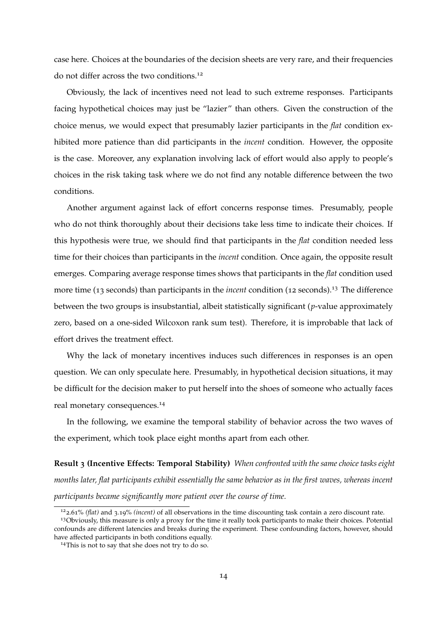case here. Choices at the boundaries of the decision sheets are very rare, and their frequencies do not differ across the two conditions.<sup>12</sup>

Obviously, the lack of incentives need not lead to such extreme responses. Participants facing hypothetical choices may just be "lazier" than others. Given the construction of the choice menus, we would expect that presumably lazier participants in the *flat* condition exhibited more patience than did participants in the *incent* condition. However, the opposite is the case. Moreover, any explanation involving lack of effort would also apply to people's choices in the risk taking task where we do not find any notable difference between the two conditions.

Another argument against lack of effort concerns response times. Presumably, people who do not think thoroughly about their decisions take less time to indicate their choices. If this hypothesis were true, we should find that participants in the *flat* condition needed less time for their choices than participants in the *incent* condition. Once again, the opposite result emerges. Comparing average response times shows that participants in the *flat* condition used more time (13 seconds) than participants in the *incent* condition (12 seconds).13 The difference between the two groups is insubstantial, albeit statistically significant (*p*-value approximately zero, based on a one-sided Wilcoxon rank sum test). Therefore, it is improbable that lack of effort drives the treatment effect.

Why the lack of monetary incentives induces such differences in responses is an open question. We can only speculate here. Presumably, in hypothetical decision situations, it may be difficult for the decision maker to put herself into the shoes of someone who actually faces real monetary consequences.14

In the following, we examine the temporal stability of behavior across the two waves of the experiment, which took place eight months apart from each other.

**Result 3 (Incentive Effects: Temporal Stability)** *When confronted with the same choice tasks eight months later, flat participants exhibit essentially the same behavior as in the first waves, whereas incent participants became significantly more patient over the course of time.*

<sup>122</sup>.61% *(flat)* and 3.19% *(incent)* of all observations in the time discounting task contain a zero discount rate.

<sup>&</sup>lt;sup>13</sup>Obviously, this measure is only a proxy for the time it really took participants to make their choices. Potential confounds are different latencies and breaks during the experiment. These confounding factors, however, should have affected participants in both conditions equally.

<sup>&</sup>lt;sup>14</sup>This is not to say that she does not try to do so.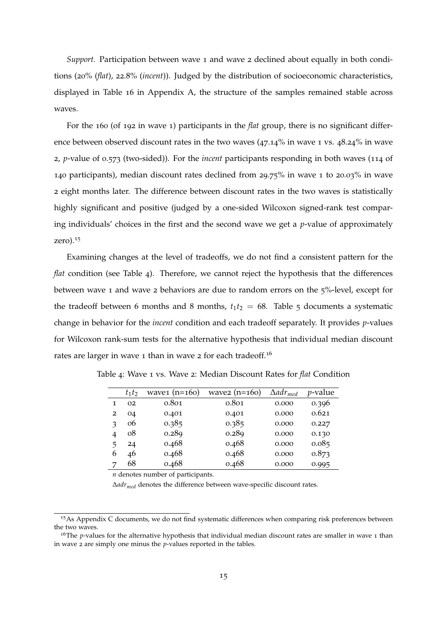*Support.* Participation between wave 1 and wave 2 declined about equally in both conditions (20% (*flat*), 22.8% (*incent*)). Judged by the distribution of socioeconomic characteristics, displayed in Table [16](#page-44-2) in Appendix [A,](#page-44-0) the structure of the samples remained stable across waves.

For the 160 (of 192 in wave 1) participants in the *flat* group, there is no significant difference between observed discount rates in the two waves (47.14% in wave 1 vs. 48.24% in wave 2, *p*-value of 0.573 (two-sided)). For the *incent* participants responding in both waves (114 of 140 participants), median discount rates declined from 29.75% in wave 1 to 20.03% in wave 2 eight months later. The difference between discount rates in the two waves is statistically highly significant and positive (judged by a one-sided Wilcoxon signed-rank test comparing individuals' choices in the first and the second wave we get a *p*-value of approximately zero). $15$ 

Examining changes at the level of tradeoffs, we do not find a consistent pattern for the *flat* condition (see Table [4](#page-19-0)). Therefore, we cannot reject the hypothesis that the differences between wave 1 and wave 2 behaviors are due to random errors on the 5%-level, except for the tradeoff between 6 months and 8 months,  $t_1t_2 = 68$ . Table [5](#page-20-0) documents a systematic change in behavior for the *incent* condition and each tradeoff separately. It provides *p*-values for Wilcoxon rank-sum tests for the alternative hypothesis that individual median discount rates are larger in wave 1 than in wave 2 for each tradeoff.<sup>16</sup>

|   | $t_1t_2$ | wave $(n=160)$ | wave2 $(n=160)$ | $\Delta adr_{med}$ | <i>p</i> -value |
|---|----------|----------------|-----------------|--------------------|-----------------|
| 1 | 02       | 0.801          | 0.801           | 0.000              | 0.396           |
| 2 | 04       | 0.401          | 0.401           | 0.000              | 0.621           |
| 3 | 06       | 0.385          | 0.385           | 0.000              | 0.227           |
| 4 | 08       | 0.289          | 0.289           | 0.000              | 0.130           |
| 5 | 24       | 0.468          | 0.468           | 0.000              | 0.085           |
| 6 | 46       | 0.468          | 0.468           | 0.000              | 0.873           |
| 7 | 68       | 0.468          | 0.468           | 0.000              | 0.995           |

<span id="page-19-0"></span>Table 4: Wave 1 vs. Wave 2: Median Discount Rates for *flat* Condition

*n* denotes number of participants.

 $\Delta$ *adr<sub>med</sub>* denotes the difference between wave-specific discount rates.

<sup>&</sup>lt;sup>15</sup>As Appendix [C](#page-47-0) documents, we do not find systematic differences when comparing risk preferences between the two waves.

<sup>&</sup>lt;sup>16</sup>The *p*-values for the alternative hypothesis that individual median discount rates are smaller in wave 1 than in wave 2 are simply one minus the *p*-values reported in the tables.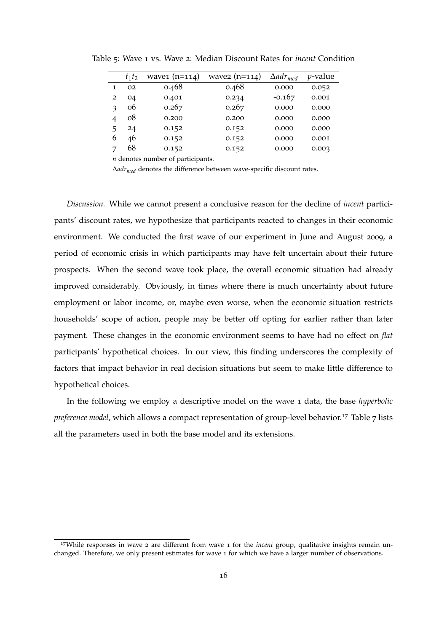|   | $t_1t_2$ | wave $(n=114)$ | wave $(n=114)$ | $\Delta adr_{med}$ | <i>p</i> -value |
|---|----------|----------------|----------------|--------------------|-----------------|
| 1 | 02       | 0.468          | 0.468          | 0.000              | 0.052           |
| 2 | 04       | 0.401          | 0.234          | $-0.167$           | 0.001           |
| ว | 06       | 0.267          | 0.267          | 0.000              | 0.000           |
| 4 | 08       | 0.200          | 0.200          | 0.000              | 0.000           |
| 5 | 24       | 0.152          | 0.152          | 0.000              | 0.000           |
| 6 | 46       | 0.152          | 0.152          | 0.000              | 0.001           |
|   | 68       | 0.152          | 0.152          | 0.000              | 0.003           |

<span id="page-20-0"></span>Table 5: Wave 1 vs. Wave 2: Median Discount Rates for *incent* Condition

*n* denotes number of participants.

 $\Delta$ *adr<sub>med</sub>* denotes the difference between wave-specific discount rates.

*Discussion.* While we cannot present a conclusive reason for the decline of *incent* participants' discount rates, we hypothesize that participants reacted to changes in their economic environment. We conducted the first wave of our experiment in June and August 2009, a period of economic crisis in which participants may have felt uncertain about their future prospects. When the second wave took place, the overall economic situation had already improved considerably. Obviously, in times where there is much uncertainty about future employment or labor income, or, maybe even worse, when the economic situation restricts households' scope of action, people may be better off opting for earlier rather than later payment. These changes in the economic environment seems to have had no effect on *flat* participants' hypothetical choices. In our view, this finding underscores the complexity of factors that impact behavior in real decision situations but seem to make little difference to hypothetical choices.

In the following we employ a descriptive model on the wave 1 data, the base *hyperbolic preference model*, which allows a compact representation of group-level behavior.<sup>1[7](#page-22-0)</sup> Table 7 lists all the parameters used in both the base model and its extensions.

<sup>17</sup>While responses in wave 2 are different from wave 1 for the *incent* group, qualitative insights remain unchanged. Therefore, we only present estimates for wave 1 for which we have a larger number of observations.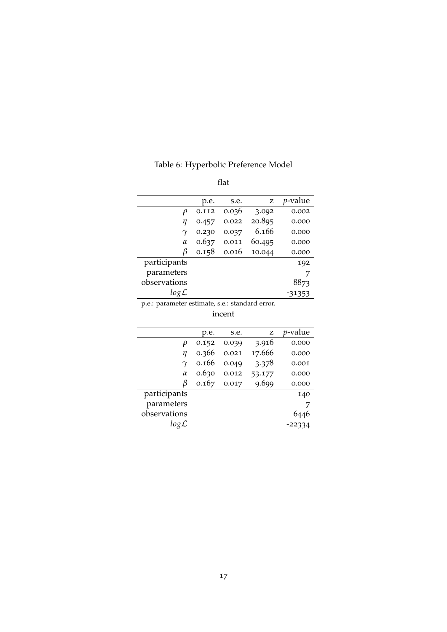| . .<br>×<br>×<br>۰,<br>۰,<br>- -<br>- - |
|-----------------------------------------|
|-----------------------------------------|

<span id="page-21-0"></span>

|              | p.e.  | s.e.  | z      | <i>p</i> -value |
|--------------|-------|-------|--------|-----------------|
| ρ            | 0.112 | 0.036 | 3.092  | 0.002           |
| п            | 0.457 | 0.022 | 20.895 | 0.000           |
|              | 0.230 | 0.037 | 6.166  | 0.000           |
| $\alpha$     | 0.637 | 0.011 | 60.495 | 0.000           |
| ß            | 0.158 | 0.016 | 10.044 | 0.000           |
| participants |       |       |        | 192             |
| parameters   |       |       |        | 7               |
| observations |       |       |        | 8873            |
| log L        |       |       |        | -31353          |

p.e.: parameter estimate, s.e.: standard error.

| incent |
|--------|
|        |
|        |

|                  | p.e.  | s.e.  | z      | <i>p</i> -value |
|------------------|-------|-------|--------|-----------------|
| $\varrho$        | 0.152 | 0.039 | 3.916  | 0.000           |
| η                | 0.366 | 0.021 | 17.666 | 0.000           |
| $\gamma$         | 0.166 | 0.049 | 3.378  | 0.001           |
| $\alpha$         | 0.630 | 0.012 | 53.177 | 0.000           |
| В                | 0.167 | 0.017 | 9.699  | 0.000           |
| participants     |       |       |        | 140             |
| parameters       |       |       |        |                 |
| observations     |       |       |        | 6446            |
| $log\mathcal{L}$ |       |       |        | -22334          |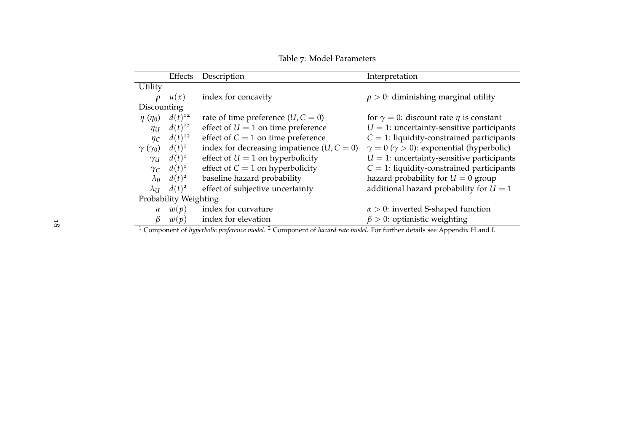<span id="page-22-0"></span>

|                                                                                                                                               | Effects     | Description                                  | Interpretation                                         |  |  |
|-----------------------------------------------------------------------------------------------------------------------------------------------|-------------|----------------------------------------------|--------------------------------------------------------|--|--|
| Utility                                                                                                                                       |             |                                              |                                                        |  |  |
| $\mathcal{O}$                                                                                                                                 | u(x)        | index for concavity                          | $\rho > 0$ : diminishing marginal utility              |  |  |
| Discounting                                                                                                                                   |             |                                              |                                                        |  |  |
| $\eta(\eta_0)$                                                                                                                                | $d(t)^{12}$ | rate of time preference $(U, C = 0)$         | for $\gamma = 0$ : discount rate $\eta$ is constant    |  |  |
| $\eta_U$                                                                                                                                      | $d(t)^{12}$ | effect of $U = 1$ on time preference         | $U = 1$ : uncertainty-sensitive participants           |  |  |
| $\eta_C$                                                                                                                                      | $d(t)^{12}$ | effect of $C = 1$ on time preference         | $C = 1$ : liquidity-constrained participants           |  |  |
| $\gamma(\gamma_0)$                                                                                                                            | $d(t)^1$    | index for decreasing impatience $(U, C = 0)$ | $\gamma = 0 \ (\gamma > 0)$ : exponential (hyperbolic) |  |  |
| $\gamma$ u                                                                                                                                    | $d(t)^1$    | effect of $U = 1$ on hyperbolicity           | $U = 1$ : uncertainty-sensitive participants           |  |  |
| $\gamma_C$                                                                                                                                    | $d(t)^1$    | effect of $C = 1$ on hyperbolicity           | $C = 1$ : liquidity-constrained participants           |  |  |
| $\lambda_0$                                                                                                                                   | $d(t)^2$    | baseline hazard probability                  | hazard probability for $U = 0$ group                   |  |  |
| $\lambda_U$                                                                                                                                   | $d(t)^2$    | effect of subjective uncertainty             | additional hazard probability for $U = 1$              |  |  |
| Probability Weighting                                                                                                                         |             |                                              |                                                        |  |  |
| $\alpha$                                                                                                                                      | w(p)        | index for curvature                          | $\alpha > 0$ : inverted S-shaped function              |  |  |
| B                                                                                                                                             | w(p)        | index for elevation                          | $\beta > 0$ : optimistic weighting                     |  |  |
| <sup>1</sup> Component of hyperbolic preference model. <sup>2</sup> Component of hazard rate model. For further details see Appendix H and I. |             |                                              |                                                        |  |  |

Table 7: Model Parameters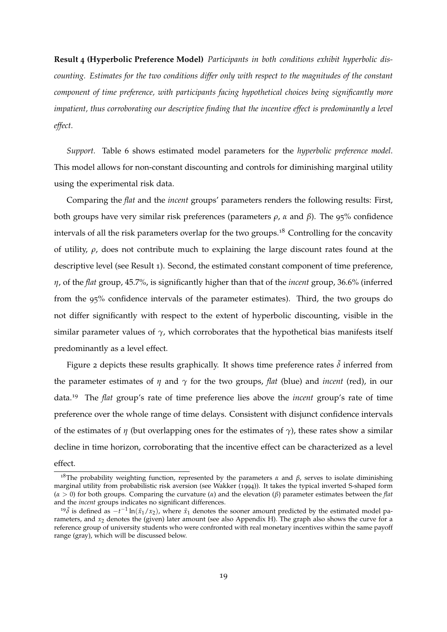**Result 4 (Hyperbolic Preference Model)** *Participants in both conditions exhibit hyperbolic discounting. Estimates for the two conditions differ only with respect to the magnitudes of the constant component of time preference, with participants facing hypothetical choices being significantly more impatient, thus corroborating our descriptive finding that the incentive effect is predominantly a level effect.*

*Support.* Table [6](#page-21-0) shows estimated model parameters for the *hyperbolic preference model*. This model allows for non-constant discounting and controls for diminishing marginal utility using the experimental risk data.

Comparing the *flat* and the *incent* groups' parameters renders the following results: First, both groups have very similar risk preferences (parameters  $\rho$ ,  $\alpha$  and  $\beta$ ). The 95% confidence intervals of all the risk parameters overlap for the two groups.<sup>18</sup> Controlling for the concavity of utility,  $\rho$ , does not contribute much to explaining the large discount rates found at the descriptive level (see Result [1](#page-13-1)). Second, the estimated constant component of time preference, *h*, of the *flat* group, 45.7%, is significantly higher than that of the *incent* group, 36.6% (inferred from the 95% confidence intervals of the parameter estimates). Third, the two groups do not differ significantly with respect to the extent of hyperbolic discounting, visible in the similar parameter values of  $\gamma$ , which corroborates that the hypothetical bias manifests itself predominantly as a level effect.

Figure [2](#page-24-0) depicts these results graphically. It shows time preference rates  $\tilde{\delta}$  inferred from the parameter estimates of  $\eta$  and  $\gamma$  for the two groups, *flat* (blue) and *incent* (red), in our data.19 The *flat* group's rate of time preference lies above the *incent* group's rate of time preference over the whole range of time delays. Consistent with disjunct confidence intervals of the estimates of  $\eta$  (but overlapping ones for the estimates of  $\gamma$ ), these rates show a similar decline in time horizon, corroborating that the incentive effect can be characterized as a level effect.

<sup>&</sup>lt;sup>18</sup>The probability weighting function, represented by the parameters  $\alpha$  and  $\beta$ , serves to isolate diminishing marginal utility from probabilistic risk aversion (see [Wakker](#page-64-2) ([1994](#page-64-2))). It takes the typical inverted S-shaped form  $(a > 0)$  for both groups. Comparing the curvature  $(a)$  and the elevation  $(\beta)$  parameter estimates between the *flat* and the *incent* groups indicates no significant differences.

<sup>&</sup>lt;sup>19</sup> $\tilde{\delta}$  is defined as  $-t^{-1}\ln(\tilde{x}_1/x_2)$ , where  $\tilde{x}_1$  denotes the sooner amount predicted by the estimated model parameters, and *x*<sub>2</sub> denotes the (given) later amount (see also Appendix [H\)](#page-54-0). The graph also shows the curve for a reference group of university students who were confronted with real monetary incentives within the same payoff range (gray), which will be discussed below.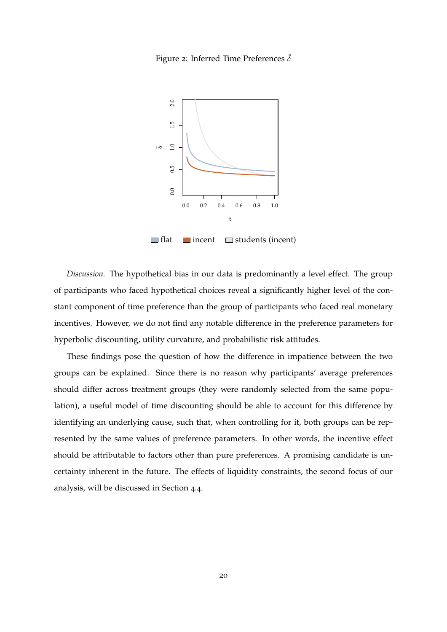<span id="page-24-0"></span>



 $\Box$  flat  $\Box$  incent  $\Box$  students (incent)

*Discussion.* The hypothetical bias in our data is predominantly a level effect. The group of participants who faced hypothetical choices reveal a significantly higher level of the constant component of time preference than the group of participants who faced real monetary incentives. However, we do not find any notable difference in the preference parameters for hyperbolic discounting, utility curvature, and probabilistic risk attitudes.

These findings pose the question of how the difference in impatience between the two groups can be explained. Since there is no reason why participants' average preferences should differ across treatment groups (they were randomly selected from the same population), a useful model of time discounting should be able to account for this difference by identifying an underlying cause, such that, when controlling for it, both groups can be represented by the same values of preference parameters. In other words, the incentive effect should be attributable to factors other than pure preferences. A promising candidate is uncertainty inherent in the future. The effects of liquidity constraints, the second focus of our analysis, will be discussed in Section [4](#page-30-0).4.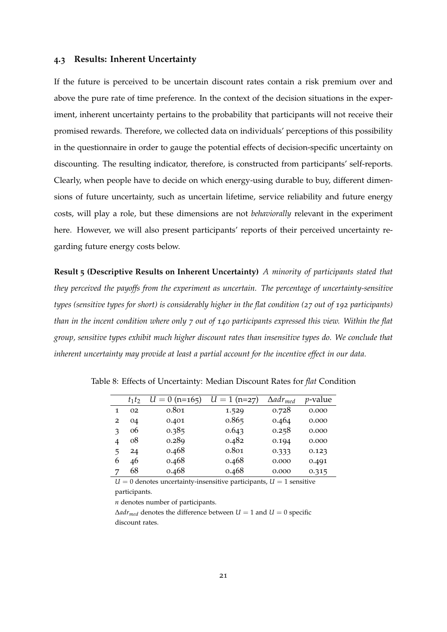#### <span id="page-25-0"></span>**4.3 Results: Inherent Uncertainty**

If the future is perceived to be uncertain discount rates contain a risk premium over and above the pure rate of time preference. In the context of the decision situations in the experiment, inherent uncertainty pertains to the probability that participants will not receive their promised rewards. Therefore, we collected data on individuals' perceptions of this possibility in the questionnaire in order to gauge the potential effects of decision-specific uncertainty on discounting. The resulting indicator, therefore, is constructed from participants' self-reports. Clearly, when people have to decide on which energy-using durable to buy, different dimensions of future uncertainty, such as uncertain lifetime, service reliability and future energy costs, will play a role, but these dimensions are not *behaviorally* relevant in the experiment here. However, we will also present participants' reports of their perceived uncertainty regarding future energy costs below.

**Result 5 (Descriptive Results on Inherent Uncertainty)** *A minority of participants stated that they perceived the payoffs from the experiment as uncertain. The percentage of uncertainty-sensitive types (sensitive types for short) is considerably higher in the flat condition (27 out of 192 participants) than in the incent condition where only 7 out of 140 participants expressed this view. Within the flat group, sensitive types exhibit much higher discount rates than insensitive types do. We conclude that inherent uncertainty may provide at least a partial account for the incentive effect in our data.*

|   | $t_1t_2$ | $U = 0$ (n=165) | $U = 1$ (n=27) | $\Delta adr_{med}$ | <i>p</i> -value |
|---|----------|-----------------|----------------|--------------------|-----------------|
| 1 | 02       | 0.801           | 1.529          | 0.728              | 0.000           |
| 2 | 04       | 0.401           | 0.865          | 0.464              | 0.000           |
| 3 | 06       | 0.385           | 0.643          | 0.258              | 0.000           |
| 4 | 08       | 0.289           | 0.482          | 0.194              | 0.000           |
| 5 | 24       | 0.468           | 0.801          | 0.333              | 0.123           |
| 6 | 46       | 0.468           | 0.468          | 0.000              | 0.491           |
| 7 | 68       | 0.468           | 0.468          | 0.000              | 0.315           |

<span id="page-25-1"></span>Table 8: Effects of Uncertainty: Median Discount Rates for *flat* Condition

 $U = 0$  denotes uncertainty-insensitive participants,  $U = 1$  sensitive participants.

*n* denotes number of participants.

 $\Delta adr_{med}$  denotes the difference between  $U = 1$  and  $U = 0$  specific discount rates.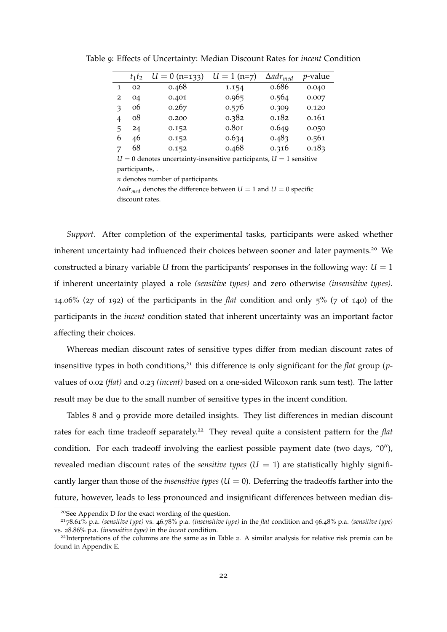|   | $t_1t_2$ | $U = 0$ (n=133) | $U = 1$ (n=7) | $\Delta a dr_{med}$ | $p$ -value |
|---|----------|-----------------|---------------|---------------------|------------|
| 1 | 02       | 0.468           | 1.154         | 0.686               | 0.040      |
| 2 | 04       | 0.401           | 0.965         | 0.564               | 0.007      |
| з | 06       | 0.267           | 0.576         | 0.309               | 0.120      |
| 4 | 08       | 0.200           | 0.382         | 0.182               | 0.161      |
| 5 | 24       | 0.152           | 0.801         | 0.649               | 0.050      |
| 6 | 46       | 0.152           | 0.634         | 0.483               | 0.561      |
|   | 68       | 0.152           | 0.468         | 0.316               | 0.183      |

<span id="page-26-0"></span>Table 9: Effects of Uncertainty: Median Discount Rates for *incent* Condition

 $U = 0$  denotes uncertainty-insensitive participants,  $U = 1$  sensitive participants, .

*n* denotes number of participants.

 $\Delta adr_{med}$  denotes the difference between  $U = 1$  and  $U = 0$  specific discount rates.

*Support.* After completion of the experimental tasks, participants were asked whether inherent uncertainty had influenced their choices between sooner and later payments.<sup>20</sup> We constructed a binary variable *U* from the participants' responses in the following way:  $U = 1$ if inherent uncertainty played a role *(sensitive types)* and zero otherwise *(insensitive types)*. 14.06% (27 of 192) of the participants in the *flat* condition and only 5% (7 of 140) of the participants in the *incent* condition stated that inherent uncertainty was an important factor affecting their choices.

Whereas median discount rates of sensitive types differ from median discount rates of insensitive types in both conditions,<sup>21</sup> this difference is only significant for the *flat* group (*p*values of 0.02 *(flat)* and 0.23 *(incent)* based on a one-sided Wilcoxon rank sum test). The latter result may be due to the small number of sensitive types in the incent condition.

Tables [8](#page-25-1) and [9](#page-26-0) provide more detailed insights. They list differences in median discount rates for each time tradeoff separately.<sup>22</sup> They reveal quite a consistent pattern for the *flat* condition. For each tradeoff involving the earliest possible payment date (two days, " $0''$ ), revealed median discount rates of the *sensitive types*  $(U = 1)$  are statistically highly significantly larger than those of the *insensitive types*  $(U = 0)$ . Deferring the tradeoffs farther into the future, however, leads to less pronounced and insignificant differences between median dis-

<sup>20</sup>See Appendix [D](#page-48-0) for the exact wording of the question.

<sup>2178</sup>.61% p.a. *(sensitive type)* vs. 46.78% p.a. *(insensitive type)* in the *flat* condition and 96.48% p.a. *(sensitive type)* vs. 28.86% p.a. *(insensitive type)* in the *incent* condition.

<sup>&</sup>lt;sup>[2](#page-15-0)2</sup>Interpretations of the columns are the same as in Table 2. A similar analysis for relative risk premia can be found in Appendix E.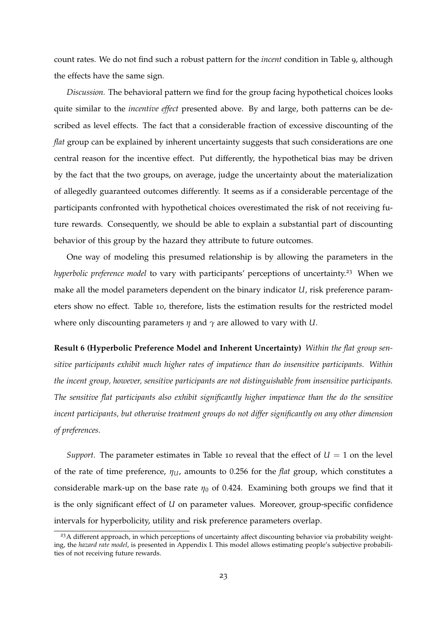count rates. We do not find such a robust pattern for the *incent* condition in Table [9](#page-26-0), although the effects have the same sign.

*Discussion.* The behavioral pattern we find for the group facing hypothetical choices looks quite similar to the *incentive effect* presented above. By and large, both patterns can be described as level effects. The fact that a considerable fraction of excessive discounting of the *flat* group can be explained by inherent uncertainty suggests that such considerations are one central reason for the incentive effect. Put differently, the hypothetical bias may be driven by the fact that the two groups, on average, judge the uncertainty about the materialization of allegedly guaranteed outcomes differently. It seems as if a considerable percentage of the participants confronted with hypothetical choices overestimated the risk of not receiving future rewards. Consequently, we should be able to explain a substantial part of discounting behavior of this group by the hazard they attribute to future outcomes.

One way of modeling this presumed relationship is by allowing the parameters in the *hyperbolic preference model* to vary with participants' perceptions of uncertainty.<sup>23</sup> When we make all the model parameters dependent on the binary indicator *U*, risk preference parameters show no effect. Table [10](#page-28-0), therefore, lists the estimation results for the restricted model where only discounting parameters  $\eta$  and  $\gamma$  are allowed to vary with *U*.

**Result 6 (Hyperbolic Preference Model and Inherent Uncertainty)** *Within the flat group sensitive participants exhibit much higher rates of impatience than do insensitive participants. Within the incent group, however, sensitive participants are not distinguishable from insensitive participants. The sensitive flat participants also exhibit significantly higher impatience than the do the sensitive incent participants, but otherwise treatment groups do not differ significantly on any other dimension of preferences.*

*Support.* The parameter estimates in Table [10](#page-28-0) reveal that the effect of  $U = 1$  on the level of the rate of time preference,  $\eta_U$ , amounts to 0.256 for the *flat* group, which constitutes a considerable mark-up on the base rate  $\eta_0$  of 0.424. Examining both groups we find that it is the only significant effect of *U* on parameter values. Moreover, group-specific confidence intervals for hyperbolicity, utility and risk preference parameters overlap.

<sup>&</sup>lt;sup>23</sup>A different approach, in which perceptions of uncertainty affect discounting behavior via probability weighting, the *hazard rate model*, is presented in Appendix [I.](#page-59-0) This model allows estimating people's subjective probabilities of not receiving future rewards.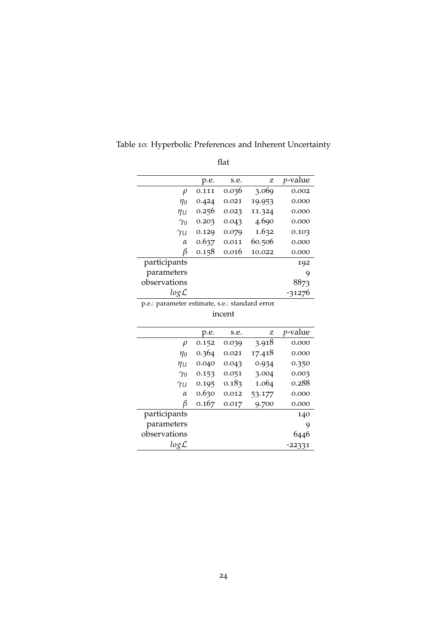|                  | p.e.  | s.e.  | Z      | <i>p</i> -value |
|------------------|-------|-------|--------|-----------------|
| $\rho$           | 0.111 | 0.036 | 3.069  | 0.002           |
| $\eta_0$         | 0.424 | 0.021 | 19.953 | 0.000           |
| $\eta_U$         | 0.256 | 0.023 | 11.324 | 0.000           |
| $\gamma_0$       | 0.203 | 0.043 | 4.690  | 0.000           |
| Yυ               | 0.129 | 0.079 | 1.632  | 0.103           |
| $\alpha$         | 0.637 | 0.011 | 60.506 | 0.000           |
| β                | 0.158 | 0.016 | 10.022 | 0.000           |
| participants     |       |       |        | 192             |
| parameters       |       |       |        | 9               |
| observations     |       |       |        | 8873            |
| $log\mathcal{L}$ |       |       |        | -31276          |

<span id="page-28-0"></span>Table 10: Hyperbolic Preferences and Inherent Uncertainty

flat

p.e.: parameter estimate, s.e.: standard error.

incent

|                  | p.e.  | s.e.  | z      | <i>v</i> -value |
|------------------|-------|-------|--------|-----------------|
| $\rho$           | 0.152 | 0.039 | 3.918  | 0.000           |
| $\eta_0$         | 0.364 | 0.021 | 17.418 | 0.000           |
| ηи               | 0.040 | 0.043 | 0.934  | 0.350           |
| $\gamma_0$       | 0.153 | 0.051 | 3.004  | 0.003           |
| Yυ               | 0.195 | 0.183 | 1.064  | 0.288           |
| $\alpha$         | 0.630 | 0.012 | 53.177 | 0.000           |
| β                | 0.167 | 0.017 | 9.700  | 0.000           |
| participants     |       |       |        | 140             |
| parameters       |       |       |        | 9               |
| observations     |       |       |        |                 |
| $log\mathcal{L}$ |       |       |        | -22331          |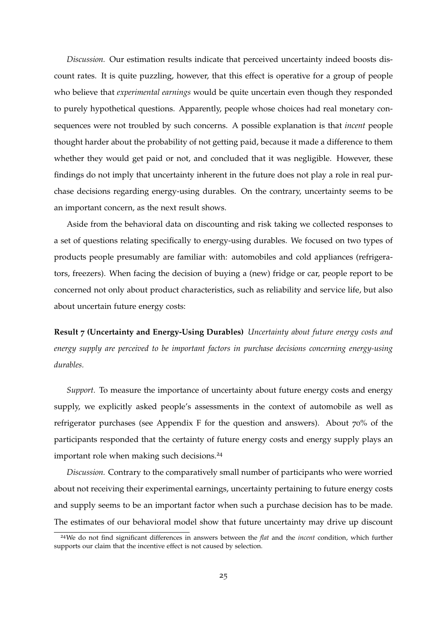*Discussion.* Our estimation results indicate that perceived uncertainty indeed boosts discount rates. It is quite puzzling, however, that this effect is operative for a group of people who believe that *experimental earnings* would be quite uncertain even though they responded to purely hypothetical questions. Apparently, people whose choices had real monetary consequences were not troubled by such concerns. A possible explanation is that *incent* people thought harder about the probability of not getting paid, because it made a difference to them whether they would get paid or not, and concluded that it was negligible. However, these findings do not imply that uncertainty inherent in the future does not play a role in real purchase decisions regarding energy-using durables. On the contrary, uncertainty seems to be an important concern, as the next result shows.

Aside from the behavioral data on discounting and risk taking we collected responses to a set of questions relating specifically to energy-using durables. We focused on two types of products people presumably are familiar with: automobiles and cold appliances (refrigerators, freezers). When facing the decision of buying a (new) fridge or car, people report to be concerned not only about product characteristics, such as reliability and service life, but also about uncertain future energy costs:

**Result 7 (Uncertainty and Energy-Using Durables)** *Uncertainty about future energy costs and energy supply are perceived to be important factors in purchase decisions concerning energy-using durables.*

*Support.* To measure the importance of uncertainty about future energy costs and energy supply, we explicitly asked people's assessments in the context of automobile as well as refrigerator purchases (see Appendix [F](#page-51-0) for the question and answers). About 70% of the participants responded that the certainty of future energy costs and energy supply plays an important role when making such decisions.<sup>24</sup>

*Discussion.* Contrary to the comparatively small number of participants who were worried about not receiving their experimental earnings, uncertainty pertaining to future energy costs and supply seems to be an important factor when such a purchase decision has to be made. The estimates of our behavioral model show that future uncertainty may drive up discount

<sup>24</sup>We do not find significant differences in answers between the *flat* and the *incent* condition, which further supports our claim that the incentive effect is not caused by selection.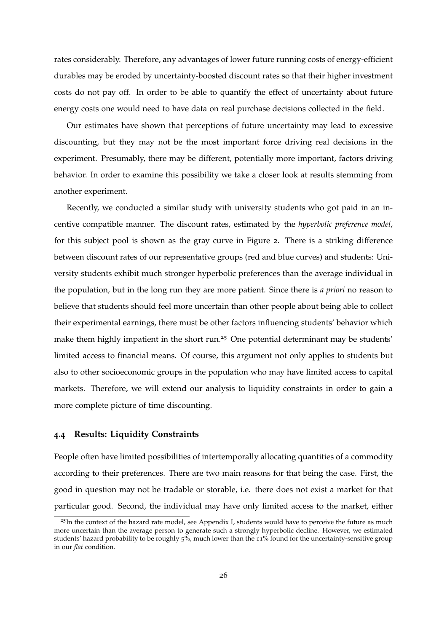rates considerably. Therefore, any advantages of lower future running costs of energy-efficient durables may be eroded by uncertainty-boosted discount rates so that their higher investment costs do not pay off. In order to be able to quantify the effect of uncertainty about future energy costs one would need to have data on real purchase decisions collected in the field.

Our estimates have shown that perceptions of future uncertainty may lead to excessive discounting, but they may not be the most important force driving real decisions in the experiment. Presumably, there may be different, potentially more important, factors driving behavior. In order to examine this possibility we take a closer look at results stemming from another experiment.

Recently, we conducted a similar study with university students who got paid in an incentive compatible manner. The discount rates, estimated by the *hyperbolic preference model*, for this subject pool is shown as the gray curve in Figure [2](#page-24-0). There is a striking difference between discount rates of our representative groups (red and blue curves) and students: University students exhibit much stronger hyperbolic preferences than the average individual in the population, but in the long run they are more patient. Since there is *a priori* no reason to believe that students should feel more uncertain than other people about being able to collect their experimental earnings, there must be other factors influencing students' behavior which make them highly impatient in the short run.<sup>25</sup> One potential determinant may be students' limited access to financial means. Of course, this argument not only applies to students but also to other socioeconomic groups in the population who may have limited access to capital markets. Therefore, we will extend our analysis to liquidity constraints in order to gain a more complete picture of time discounting.

#### <span id="page-30-0"></span>**4.4 Results: Liquidity Constraints**

People often have limited possibilities of intertemporally allocating quantities of a commodity according to their preferences. There are two main reasons for that being the case. First, the good in question may not be tradable or storable, i.e. there does not exist a market for that particular good. Second, the individual may have only limited access to the market, either

<sup>&</sup>lt;sup>25</sup>In the context of the hazard rate model, see Appendix [I,](#page-59-0) students would have to perceive the future as much more uncertain than the average person to generate such a strongly hyperbolic decline. However, we estimated students' hazard probability to be roughly 5%, much lower than the 11% found for the uncertainty-sensitive group in our *flat* condition.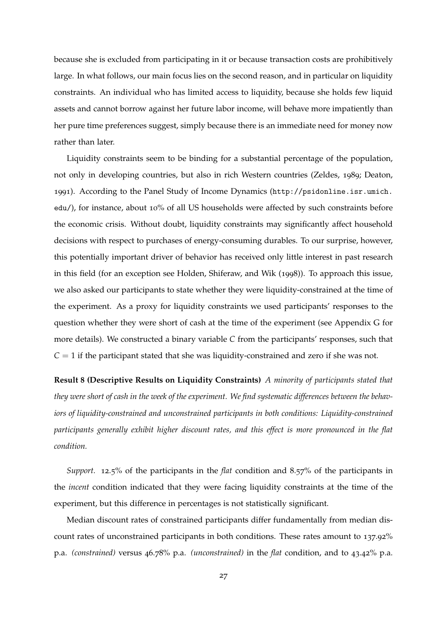because she is excluded from participating in it or because transaction costs are prohibitively large. In what follows, our main focus lies on the second reason, and in particular on liquidity constraints. An individual who has limited access to liquidity, because she holds few liquid assets and cannot borrow against her future labor income, will behave more impatiently than her pure time preferences suggest, simply because there is an immediate need for money now rather than later.

Liquidity constraints seem to be binding for a substantial percentage of the population, not only in developing countries, but also in rich Western countries [\(Zeldes,](#page-64-3) [1989](#page-64-3); [Deaton,](#page-62-7) [1991](#page-62-7)). According to the Panel Study of Income Dynamics ([http://psidonline.isr.umich.](http://psidonline.isr.umich.edu/) [edu/](http://psidonline.isr.umich.edu/)), for instance, about 10% of all US households were affected by such constraints before the economic crisis. Without doubt, liquidity constraints may significantly affect household decisions with respect to purchases of energy-consuming durables. To our surprise, however, this potentially important driver of behavior has received only little interest in past research in this field (for an exception see [Holden, Shiferaw, and Wik](#page-63-4) ([1998](#page-63-4))). To approach this issue, we also asked our participants to state whether they were liquidity-constrained at the time of the experiment. As a proxy for liquidity constraints we used participants' responses to the question whether they were short of cash at the time of the experiment (see Appendix [G](#page-53-0) for more details). We constructed a binary variable *C* from the participants' responses, such that  $C = 1$  if the participant stated that she was liquidity-constrained and zero if she was not.

**Result 8 (Descriptive Results on Liquidity Constraints)** *A minority of participants stated that they were short of cash in the week of the experiment. We find systematic differences between the behaviors of liquidity-constrained and unconstrained participants in both conditions: Liquidity-constrained participants generally exhibit higher discount rates, and this effect is more pronounced in the flat condition.*

*Support.* 12.5% of the participants in the *flat* condition and 8.57% of the participants in the *incent* condition indicated that they were facing liquidity constraints at the time of the experiment, but this difference in percentages is not statistically significant.

Median discount rates of constrained participants differ fundamentally from median discount rates of unconstrained participants in both conditions. These rates amount to 137.92% p.a. *(constrained)* versus 46.78% p.a. *(unconstrained)* in the *flat* condition, and to 43.42% p.a.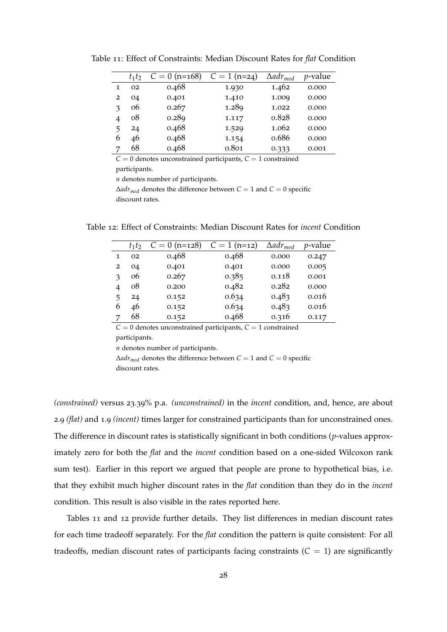|   | $t_1t_2$ | $C = 0$ (n=168) | $C = 1$ (n=24) | $\Delta a dr_{med}$ | <i>p</i> -value |
|---|----------|-----------------|----------------|---------------------|-----------------|
| 1 | 02       | 0.468           | 1.930          | 1.462               | 0.000           |
| 2 | 04       | 0.401           | 1.410          | 1.009               | 0.000           |
| з | 06       | 0.267           | 1.289          | 1.022               | 0.000           |
| 4 | 08       | 0.289           | 1.117          | 0.828               | 0.000           |
| 5 | 24       | 0.468           | 1.529          | 1.062               | 0.000           |
| 6 | 46       | 0.468           | 1.154          | 0.686               | 0.000           |
|   | 68       | 0.468           | 0.801          | 0.333               | 0.001           |

<span id="page-32-0"></span>Table 11: Effect of Constraints: Median Discount Rates for *flat* Condition

*C* = 0 denotes unconstrained participants, *C* = 1 constrained

participants.

*n* denotes number of participants.

 $\Delta$ *adr<sub>med</sub>* denotes the difference between  $C = 1$  and  $C = 0$  specific discount rates.

<span id="page-32-1"></span>Table 12: Effect of Constraints: Median Discount Rates for *incent* Condition

|   | $t_1t_2$ | $C = 0$ (n=128) | $C = 1$ (n=12) | $\Delta adr_{med}$ | $p$ -value |
|---|----------|-----------------|----------------|--------------------|------------|
| 1 | 02       | 0.468           | 0.468          | 0.000              | 0.247      |
| 2 | 04       | 0.401           | 0.401          | 0.000              | 0.005      |
| з | 06       | 0.267           | 0.385          | 0.118              | 0.001      |
| 4 | 08       | 0.200           | 0.482          | 0.282              | 0.000      |
| 5 | 24       | 0.152           | 0.634          | 0.483              | 0.016      |
| 6 | 46       | 0.152           | 0.634          | 0.483              | 0.016      |
| 7 | 68       | 0.152           | 0.468          | 0.316              | 0.117      |
|   |          |                 |                |                    |            |

 $C = 0$  denotes unconstrained participants,  $C = 1$  constrained participants.

*n* denotes number of participants.

 $\Delta adr_{med}$  denotes the difference between  $C = 1$  and  $C = 0$  specific discount rates.

*(constrained)* versus 23.39% p.a. *(unconstrained)* in the *incent* condition, and, hence, are about 2.9 *(flat)* and 1.9 *(incent)* times larger for constrained participants than for unconstrained ones. The difference in discount rates is statistically significant in both conditions (*p*-values approximately zero for both the *flat* and the *incent* condition based on a one-sided Wilcoxon rank sum test). Earlier in this report we argued that people are prone to hypothetical bias, i.e. that they exhibit much higher discount rates in the *flat* condition than they do in the *incent* condition. This result is also visible in the rates reported here.

Tables [11](#page-32-0) and [12](#page-32-1) provide further details. They list differences in median discount rates for each time tradeoff separately. For the *flat* condition the pattern is quite consistent: For all tradeoffs, median discount rates of participants facing constraints  $(C = 1)$  are significantly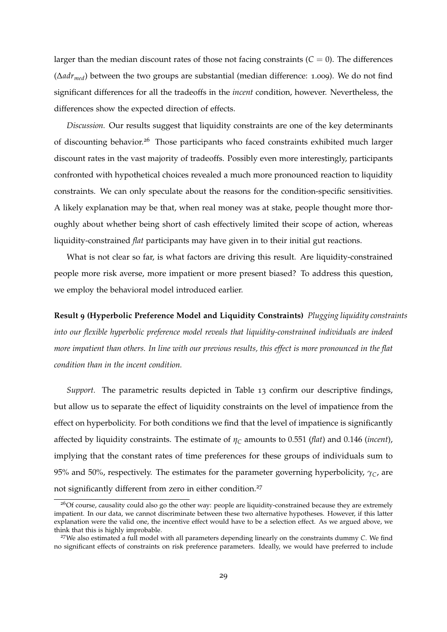larger than the median discount rates of those not facing constraints  $(C = 0)$ . The differences  $(\Delta adr_{med})$  between the two groups are substantial (median difference: 1.009). We do not find significant differences for all the tradeoffs in the *incent* condition, however. Nevertheless, the differences show the expected direction of effects.

*Discussion.* Our results suggest that liquidity constraints are one of the key determinants of discounting behavior.<sup>26</sup> Those participants who faced constraints exhibited much larger discount rates in the vast majority of tradeoffs. Possibly even more interestingly, participants confronted with hypothetical choices revealed a much more pronounced reaction to liquidity constraints. We can only speculate about the reasons for the condition-specific sensitivities. A likely explanation may be that, when real money was at stake, people thought more thoroughly about whether being short of cash effectively limited their scope of action, whereas liquidity-constrained *flat* participants may have given in to their initial gut reactions.

What is not clear so far, is what factors are driving this result. Are liquidity-constrained people more risk averse, more impatient or more present biased? To address this question, we employ the behavioral model introduced earlier.

**Result 9 (Hyperbolic Preference Model and Liquidity Constraints)** *Plugging liquidity constraints into our flexible hyperbolic preference model reveals that liquidity-constrained individuals are indeed more impatient than others. In line with our previous results, this effect is more pronounced in the flat condition than in the incent condition.*

*Support.* The parametric results depicted in Table [13](#page-34-0) confirm our descriptive findings, but allow us to separate the effect of liquidity constraints on the level of impatience from the effect on hyperbolicity. For both conditions we find that the level of impatience is significantly affected by liquidity constraints. The estimate of  $\eta_C$  amounts to 0.551 (*flat*) and 0.146 (*incent*), implying that the constant rates of time preferences for these groups of individuals sum to 95% and 50%, respectively. The estimates for the parameter governing hyperbolicity,  $\gamma_C$ , are not significantly different from zero in either condition.27

<sup>&</sup>lt;sup>26</sup>Of course, causality could also go the other way: people are liquidity-constrained because they are extremely impatient. In our data, we cannot discriminate between these two alternative hypotheses. However, if this latter explanation were the valid one, the incentive effect would have to be a selection effect. As we argued above, we think that this is highly improbable.

<sup>27</sup>We also estimated a full model with all parameters depending linearly on the constraints dummy *C*. We find no significant effects of constraints on risk preference parameters. Ideally, we would have preferred to include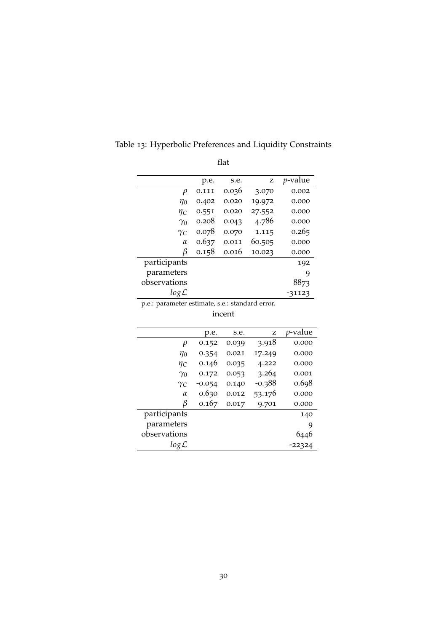|                  | p.e.  | s.e.  | z      | <i>p</i> -value |
|------------------|-------|-------|--------|-----------------|
| $\rho$           | 0.111 | 0.036 | 3.070  | 0.002           |
| $\eta_0$         | 0.402 | 0.020 | 19.972 | 0.000           |
| Ŋс               | 0.551 | 0.020 | 27.552 | 0.000           |
| $\gamma_0$       | 0.208 | 0.043 | 4.786  | 0.000           |
| $\gamma_C$       | 0.078 | 0.070 | 1.115  | 0.265           |
| $\alpha$         | 0.637 | 0.011 | 60.505 | 0.000           |
| В                | 0.158 | 0.016 | 10.023 | 0.000           |
| participants     |       |       |        | 192             |
| parameters       |       |       |        | 9               |
| observations     |       |       |        | 8873            |
| $log\mathcal{L}$ |       |       |        | -31123          |

<span id="page-34-0"></span>Table 13: Hyperbolic Preferences and Liquidity Constraints

flat

p.e.: parameter estimate, s.e.: standard error.

incent

|                  | p.e.     | s.e.  | z        | <i>p</i> -value |
|------------------|----------|-------|----------|-----------------|
| $\rho$           | 0.152    | 0.039 | 3.918    | 0.000           |
| $\eta_0$         | 0.354    | 0.021 | 17.249   | 0.000           |
| Ŋс               | 0.146    | 0.035 | 4.222    | 0.000           |
| $\gamma_0$       | 0.172    | 0.053 | 3.264    | 0.001           |
| $\gamma_C$       | $-0.054$ | 0.140 | $-0.388$ | 0.698           |
| $\alpha$         | 0.630    | 0.012 | 53.176   | 0.000           |
| β                | 0.167    | 0.017 | 9.701    | 0.000           |
| participants     |          |       |          | 140             |
| parameters       |          |       |          | 9               |
| observations     |          |       |          |                 |
| $log\mathcal{L}$ |          |       |          | -22324          |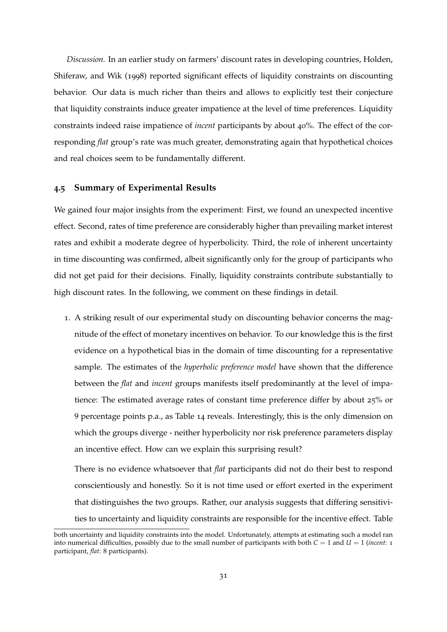*Discussion.* In an earlier study on farmers' discount rates in developing countries, [Holden,](#page-63-4) [Shiferaw, and Wik](#page-63-4) ([1998](#page-63-4)) reported significant effects of liquidity constraints on discounting behavior. Our data is much richer than theirs and allows to explicitly test their conjecture that liquidity constraints induce greater impatience at the level of time preferences. Liquidity constraints indeed raise impatience of *incent* participants by about 40%. The effect of the corresponding *flat* group's rate was much greater, demonstrating again that hypothetical choices and real choices seem to be fundamentally different.

#### <span id="page-35-0"></span>**4.5 Summary of Experimental Results**

We gained four major insights from the experiment: First, we found an unexpected incentive effect. Second, rates of time preference are considerably higher than prevailing market interest rates and exhibit a moderate degree of hyperbolicity. Third, the role of inherent uncertainty in time discounting was confirmed, albeit significantly only for the group of participants who did not get paid for their decisions. Finally, liquidity constraints contribute substantially to high discount rates. In the following, we comment on these findings in detail.

1. A striking result of our experimental study on discounting behavior concerns the magnitude of the effect of monetary incentives on behavior. To our knowledge this is the first evidence on a hypothetical bias in the domain of time discounting for a representative sample. The estimates of the *hyperbolic preference model* have shown that the difference between the *flat* and *incent* groups manifests itself predominantly at the level of impatience: The estimated average rates of constant time preference differ by about 25% or 9 percentage points p.a., as Table [14](#page-36-0) reveals. Interestingly, this is the only dimension on which the groups diverge - neither hyperbolicity nor risk preference parameters display an incentive effect. How can we explain this surprising result?

There is no evidence whatsoever that *flat* participants did not do their best to respond conscientiously and honestly. So it is not time used or effort exerted in the experiment that distinguishes the two groups. Rather, our analysis suggests that differing sensitivities to uncertainty and liquidity constraints are responsible for the incentive effect. Table

both uncertainty and liquidity constraints into the model. Unfortunately, attempts at estimating such a model ran into numerical difficulties, possibly due to the small number of participants with both  $C = 1$  and  $U = 1$  (*incent*: 1 participant, *flat*: 8 participants).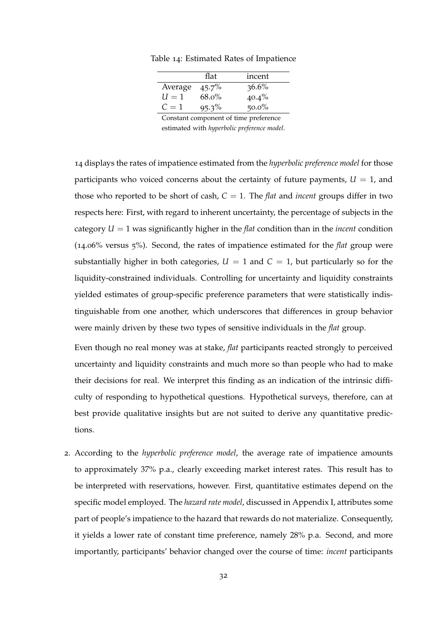<span id="page-36-0"></span>Table 14: Estimated Rates of Impatience

| flat     | incent   |
|----------|----------|
| $45.7\%$ | $36.6\%$ |
| $68.0\%$ | $40.4\%$ |
| $95.3\%$ | $50.0\%$ |
|          |          |

Constant component of time preference estimated with *hyperbolic preference model*.

[14](#page-36-0) displays the rates of impatience estimated from the *hyperbolic preference model* for those participants who voiced concerns about the certainty of future payments,  $U = 1$ , and those who reported to be short of cash,  $C = 1$ . The *flat* and *incent* groups differ in two respects here: First, with regard to inherent uncertainty, the percentage of subjects in the category  $U = 1$  was significantly higher in the *flat* condition than in the *incent* condition (14.06% versus 5%). Second, the rates of impatience estimated for the *flat* group were substantially higher in both categories,  $U = 1$  and  $C = 1$ , but particularly so for the liquidity-constrained individuals. Controlling for uncertainty and liquidity constraints yielded estimates of group-specific preference parameters that were statistically indistinguishable from one another, which underscores that differences in group behavior were mainly driven by these two types of sensitive individuals in the *flat* group.

Even though no real money was at stake, *flat* participants reacted strongly to perceived uncertainty and liquidity constraints and much more so than people who had to make their decisions for real. We interpret this finding as an indication of the intrinsic difficulty of responding to hypothetical questions. Hypothetical surveys, therefore, can at best provide qualitative insights but are not suited to derive any quantitative predictions.

2. According to the *hyperbolic preference model*, the average rate of impatience amounts to approximately 37% p.a., clearly exceeding market interest rates. This result has to be interpreted with reservations, however. First, quantitative estimates depend on the specific model employed. The *hazard rate model*, discussed in Appendix [I,](#page-59-0) attributes some part of people's impatience to the hazard that rewards do not materialize. Consequently, it yields a lower rate of constant time preference, namely 28% p.a. Second, and more importantly, participants' behavior changed over the course of time: *incent* participants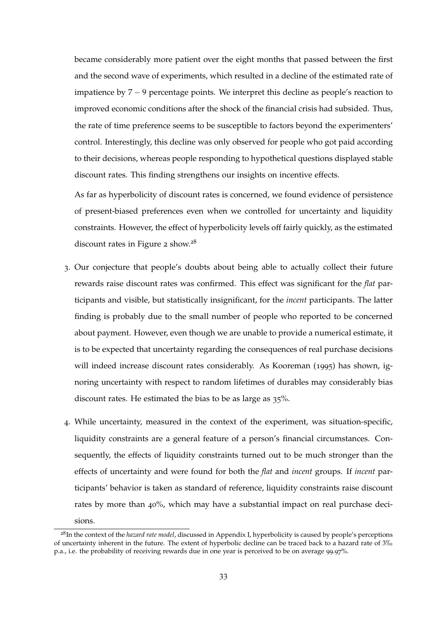became considerably more patient over the eight months that passed between the first and the second wave of experiments, which resulted in a decline of the estimated rate of impatience by  $7 - 9$  percentage points. We interpret this decline as people's reaction to improved economic conditions after the shock of the financial crisis had subsided. Thus, the rate of time preference seems to be susceptible to factors beyond the experimenters' control. Interestingly, this decline was only observed for people who got paid according to their decisions, whereas people responding to hypothetical questions displayed stable discount rates. This finding strengthens our insights on incentive effects.

As far as hyperbolicity of discount rates is concerned, we found evidence of persistence of present-biased preferences even when we controlled for uncertainty and liquidity constraints. However, the effect of hyperbolicity levels off fairly quickly, as the estimated discount rates in Figure [2](#page-24-0) show. $28$ 

- 3. Our conjecture that people's doubts about being able to actually collect their future rewards raise discount rates was confirmed. This effect was significant for the *flat* participants and visible, but statistically insignificant, for the *incent* participants. The latter finding is probably due to the small number of people who reported to be concerned about payment. However, even though we are unable to provide a numerical estimate, it is to be expected that uncertainty regarding the consequences of real purchase decisions will indeed increase discount rates considerably. As [Kooreman](#page-63-5) ([1995](#page-63-5)) has shown, ignoring uncertainty with respect to random lifetimes of durables may considerably bias discount rates. He estimated the bias to be as large as 35%.
- 4. While uncertainty, measured in the context of the experiment, was situation-specific, liquidity constraints are a general feature of a person's financial circumstances. Consequently, the effects of liquidity constraints turned out to be much stronger than the effects of uncertainty and were found for both the *flat* and *incent* groups. If *incent* participants' behavior is taken as standard of reference, liquidity constraints raise discount rates by more than 40%, which may have a substantial impact on real purchase decisions.

<sup>28</sup>In the context of the *hazard rate model*, discussed in Appendix [I,](#page-59-0) hyperbolicity is caused by people's perceptions of uncertainty inherent in the future. The extent of hyperbolic decline can be traced back to a hazard rate of  $3\%$ p.a., i.e. the probability of receiving rewards due in one year is perceived to be on average 99.97%.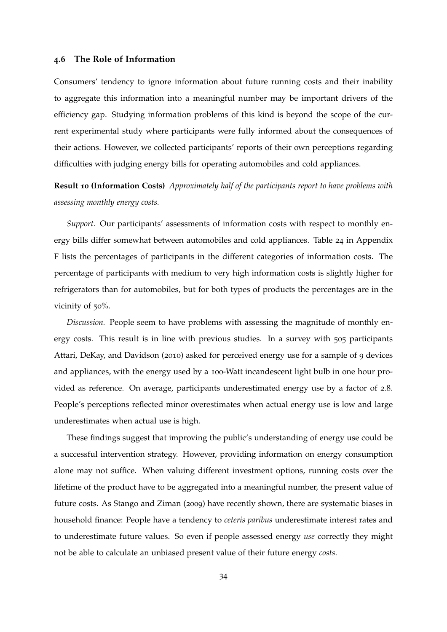#### <span id="page-38-0"></span>**4.6 The Role of Information**

Consumers' tendency to ignore information about future running costs and their inability to aggregate this information into a meaningful number may be important drivers of the efficiency gap. Studying information problems of this kind is beyond the scope of the current experimental study where participants were fully informed about the consequences of their actions. However, we collected participants' reports of their own perceptions regarding difficulties with judging energy bills for operating automobiles and cold appliances.

**Result 10 (Information Costs)** *Approximately half of the participants report to have problems with assessing monthly energy costs.*

*Support.* Our participants' assessments of information costs with respect to monthly energy bills differ somewhat between automobiles and cold appliances. Table [24](#page-52-0) in Appendix [F](#page-51-0) lists the percentages of participants in the different categories of information costs. The percentage of participants with medium to very high information costs is slightly higher for refrigerators than for automobiles, but for both types of products the percentages are in the vicinity of 50%.

*Discussion.* People seem to have problems with assessing the magnitude of monthly energy costs. This result is in line with previous studies. In a survey with 505 participants [Attari, DeKay, and Davidson](#page-62-8) ([2010](#page-62-8)) asked for perceived energy use for a sample of 9 devices and appliances, with the energy used by a 100-Watt incandescent light bulb in one hour provided as reference. On average, participants underestimated energy use by a factor of 2.8. People's perceptions reflected minor overestimates when actual energy use is low and large underestimates when actual use is high.

These findings suggest that improving the public's understanding of energy use could be a successful intervention strategy. However, providing information on energy consumption alone may not suffice. When valuing different investment options, running costs over the lifetime of the product have to be aggregated into a meaningful number, the present value of future costs. As [Stango and Ziman](#page-63-6) ([2009](#page-63-6)) have recently shown, there are systematic biases in household finance: People have a tendency to *ceteris paribus* underestimate interest rates and to underestimate future values. So even if people assessed energy *use* correctly they might not be able to calculate an unbiased present value of their future energy *costs*.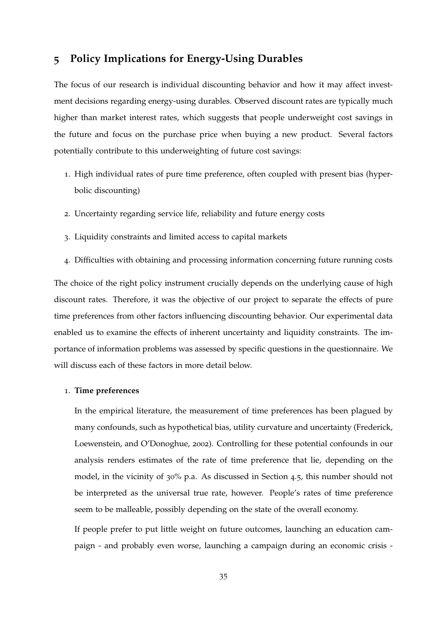### <span id="page-39-0"></span>**5 Policy Implications for Energy-Using Durables**

The focus of our research is individual discounting behavior and how it may affect investment decisions regarding energy-using durables. Observed discount rates are typically much higher than market interest rates, which suggests that people underweight cost savings in the future and focus on the purchase price when buying a new product. Several factors potentially contribute to this underweighting of future cost savings:

- 1. High individual rates of pure time preference, often coupled with present bias (hyperbolic discounting)
- 2. Uncertainty regarding service life, reliability and future energy costs
- 3. Liquidity constraints and limited access to capital markets
- 4. Difficulties with obtaining and processing information concerning future running costs

The choice of the right policy instrument crucially depends on the underlying cause of high discount rates. Therefore, it was the objective of our project to separate the effects of pure time preferences from other factors influencing discounting behavior. Our experimental data enabled us to examine the effects of inherent uncertainty and liquidity constraints. The importance of information problems was assessed by specific questions in the questionnaire. We will discuss each of these factors in more detail below.

#### 1. **Time preferences**

In the empirical literature, the measurement of time preferences has been plagued by many confounds, such as hypothetical bias, utility curvature and uncertainty [\(Frederick,](#page-62-0) [Loewenstein, and O'Donoghue,](#page-62-0) [2002](#page-62-0)). Controlling for these potential confounds in our analysis renders estimates of the rate of time preference that lie, depending on the model, in the vicinity of 30% p.a. As discussed in Section [4](#page-35-0).5, this number should not be interpreted as the universal true rate, however. People's rates of time preference seem to be malleable, possibly depending on the state of the overall economy.

If people prefer to put little weight on future outcomes, launching an education campaign - and probably even worse, launching a campaign during an economic crisis -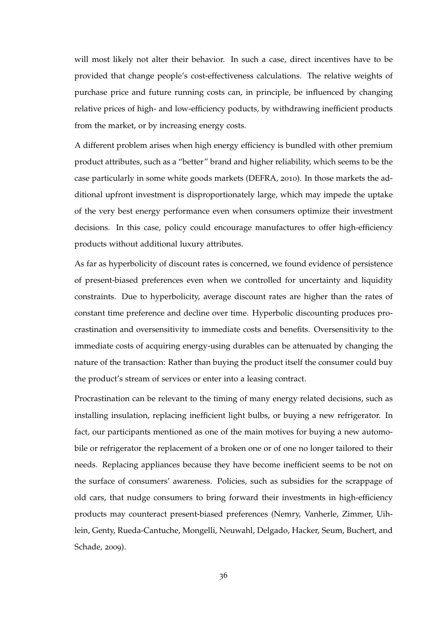will most likely not alter their behavior. In such a case, direct incentives have to be provided that change people's cost-effectiveness calculations. The relative weights of purchase price and future running costs can, in principle, be influenced by changing relative prices of high- and low-efficiency poducts, by withdrawing inefficient products from the market, or by increasing energy costs.

A different problem arises when high energy efficiency is bundled with other premium product attributes, such as a "better" brand and higher reliability, which seems to be the case particularly in some white goods markets [\(DEFRA,](#page-62-1) [2010](#page-62-1)). In those markets the additional upfront investment is disproportionately large, which may impede the uptake of the very best energy performance even when consumers optimize their investment decisions. In this case, policy could encourage manufactures to offer high-efficiency products without additional luxury attributes.

As far as hyperbolicity of discount rates is concerned, we found evidence of persistence of present-biased preferences even when we controlled for uncertainty and liquidity constraints. Due to hyperbolicity, average discount rates are higher than the rates of constant time preference and decline over time. Hyperbolic discounting produces procrastination and oversensitivity to immediate costs and benefits. Oversensitivity to the immediate costs of acquiring energy-using durables can be attenuated by changing the nature of the transaction: Rather than buying the product itself the consumer could buy the product's stream of services or enter into a leasing contract.

Procrastination can be relevant to the timing of many energy related decisions, such as installing insulation, replacing inefficient light bulbs, or buying a new refrigerator. In fact, our participants mentioned as one of the main motives for buying a new automobile or refrigerator the replacement of a broken one or of one no longer tailored to their needs. Replacing appliances because they have become inefficient seems to be not on the surface of consumers' awareness. Policies, such as subsidies for the scrappage of old cars, that nudge consumers to bring forward their investments in high-efficiency products may counteract present-biased preferences [\(Nemry, Vanherle, Zimmer, Uih](#page-63-7)[lein, Genty, Rueda-Cantuche, Mongelli, Neuwahl, Delgado, Hacker, Seum, Buchert, and](#page-63-7) [Schade,](#page-63-7) [2009](#page-63-7)).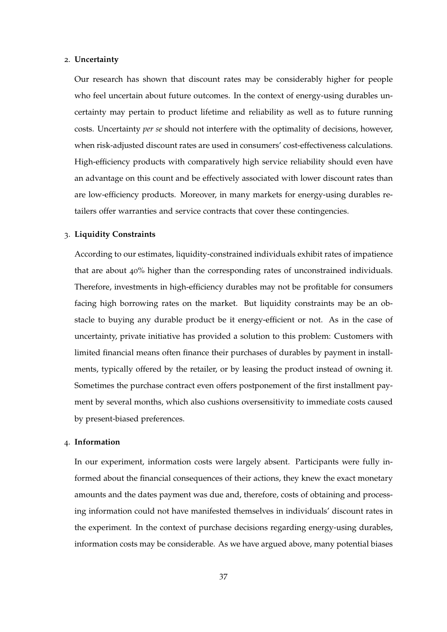#### 2. **Uncertainty**

Our research has shown that discount rates may be considerably higher for people who feel uncertain about future outcomes. In the context of energy-using durables uncertainty may pertain to product lifetime and reliability as well as to future running costs. Uncertainty *per se* should not interfere with the optimality of decisions, however, when risk-adjusted discount rates are used in consumers' cost-effectiveness calculations. High-efficiency products with comparatively high service reliability should even have an advantage on this count and be effectively associated with lower discount rates than are low-efficiency products. Moreover, in many markets for energy-using durables retailers offer warranties and service contracts that cover these contingencies.

#### 3. **Liquidity Constraints**

According to our estimates, liquidity-constrained individuals exhibit rates of impatience that are about 40% higher than the corresponding rates of unconstrained individuals. Therefore, investments in high-efficiency durables may not be profitable for consumers facing high borrowing rates on the market. But liquidity constraints may be an obstacle to buying any durable product be it energy-efficient or not. As in the case of uncertainty, private initiative has provided a solution to this problem: Customers with limited financial means often finance their purchases of durables by payment in installments, typically offered by the retailer, or by leasing the product instead of owning it. Sometimes the purchase contract even offers postponement of the first installment payment by several months, which also cushions oversensitivity to immediate costs caused by present-biased preferences.

#### 4. **Information**

In our experiment, information costs were largely absent. Participants were fully informed about the financial consequences of their actions, they knew the exact monetary amounts and the dates payment was due and, therefore, costs of obtaining and processing information could not have manifested themselves in individuals' discount rates in the experiment. In the context of purchase decisions regarding energy-using durables, information costs may be considerable. As we have argued above, many potential biases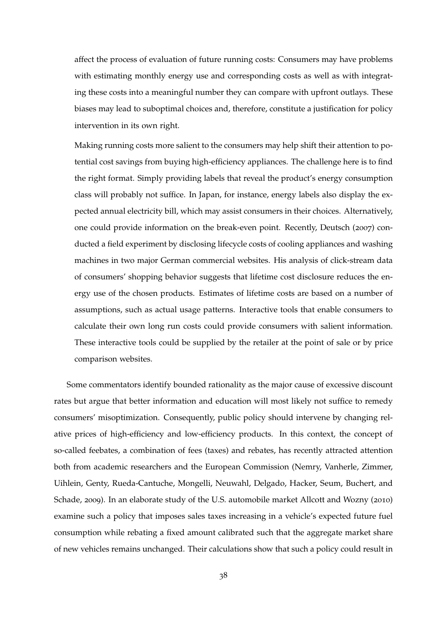affect the process of evaluation of future running costs: Consumers may have problems with estimating monthly energy use and corresponding costs as well as with integrating these costs into a meaningful number they can compare with upfront outlays. These biases may lead to suboptimal choices and, therefore, constitute a justification for policy intervention in its own right.

Making running costs more salient to the consumers may help shift their attention to potential cost savings from buying high-efficiency appliances. The challenge here is to find the right format. Simply providing labels that reveal the product's energy consumption class will probably not suffice. In Japan, for instance, energy labels also display the expected annual electricity bill, which may assist consumers in their choices. Alternatively, one could provide information on the break-even point. Recently, [Deutsch](#page-62-9) ([2007](#page-62-9)) conducted a field experiment by disclosing lifecycle costs of cooling appliances and washing machines in two major German commercial websites. His analysis of click-stream data of consumers' shopping behavior suggests that lifetime cost disclosure reduces the energy use of the chosen products. Estimates of lifetime costs are based on a number of assumptions, such as actual usage patterns. Interactive tools that enable consumers to calculate their own long run costs could provide consumers with salient information. These interactive tools could be supplied by the retailer at the point of sale or by price comparison websites.

Some commentators identify bounded rationality as the major cause of excessive discount rates but argue that better information and education will most likely not suffice to remedy consumers' misoptimization. Consequently, public policy should intervene by changing relative prices of high-efficiency and low-efficiency products. In this context, the concept of so-called feebates, a combination of fees (taxes) and rebates, has recently attracted attention both from academic researchers and the European Commission [\(Nemry, Vanherle, Zimmer,](#page-63-7) [Uihlein, Genty, Rueda-Cantuche, Mongelli, Neuwahl, Delgado, Hacker, Seum, Buchert, and](#page-63-7) [Schade,](#page-63-7) [2009](#page-63-7)). In an elaborate study of the U.S. automobile market [Allcott and Wozny](#page-62-10) ([2010](#page-62-10)) examine such a policy that imposes sales taxes increasing in a vehicle's expected future fuel consumption while rebating a fixed amount calibrated such that the aggregate market share of new vehicles remains unchanged. Their calculations show that such a policy could result in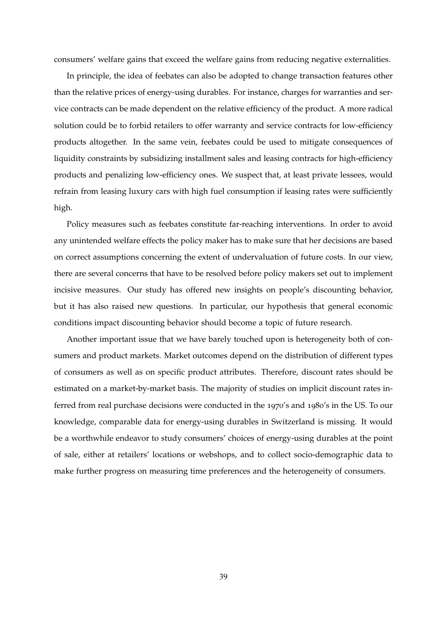consumers' welfare gains that exceed the welfare gains from reducing negative externalities.

In principle, the idea of feebates can also be adopted to change transaction features other than the relative prices of energy-using durables. For instance, charges for warranties and service contracts can be made dependent on the relative efficiency of the product. A more radical solution could be to forbid retailers to offer warranty and service contracts for low-efficiency products altogether. In the same vein, feebates could be used to mitigate consequences of liquidity constraints by subsidizing installment sales and leasing contracts for high-efficiency products and penalizing low-efficiency ones. We suspect that, at least private lessees, would refrain from leasing luxury cars with high fuel consumption if leasing rates were sufficiently high.

Policy measures such as feebates constitute far-reaching interventions. In order to avoid any unintended welfare effects the policy maker has to make sure that her decisions are based on correct assumptions concerning the extent of undervaluation of future costs. In our view, there are several concerns that have to be resolved before policy makers set out to implement incisive measures. Our study has offered new insights on people's discounting behavior, but it has also raised new questions. In particular, our hypothesis that general economic conditions impact discounting behavior should become a topic of future research.

Another important issue that we have barely touched upon is heterogeneity both of consumers and product markets. Market outcomes depend on the distribution of different types of consumers as well as on specific product attributes. Therefore, discount rates should be estimated on a market-by-market basis. The majority of studies on implicit discount rates inferred from real purchase decisions were conducted in the 1970's and 1980's in the US. To our knowledge, comparable data for energy-using durables in Switzerland is missing. It would be a worthwhile endeavor to study consumers' choices of energy-using durables at the point of sale, either at retailers' locations or webshops, and to collect socio-demographic data to make further progress on measuring time preferences and the heterogeneity of consumers.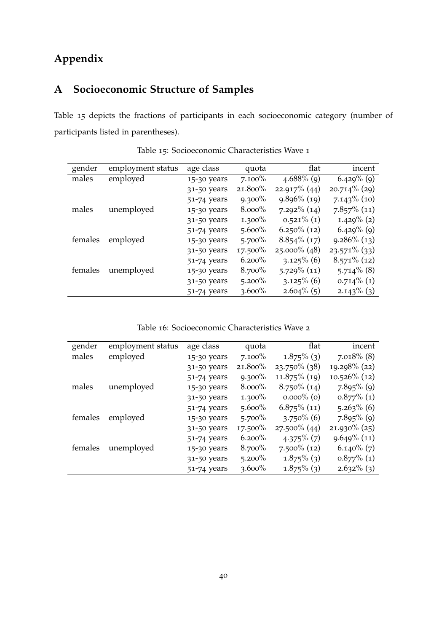## **Appendix**

## <span id="page-44-0"></span>**A Socioeconomic Structure of Samples**

Table [15](#page-44-1) depicts the fractions of participants in each socioeconomic category (number of participants listed in parentheses).

<span id="page-44-1"></span>

| gender  | employment status | age class   | quota      | flat            | incent          |
|---------|-------------------|-------------|------------|-----------------|-----------------|
| males   | employed          | 15-30 years | $7.100\%$  | $4.688\%$ (9)   | $6.429\%$ (9)   |
|         |                   | 31-50 years | 21.800%    | $22.917\%$ (44) | $20.714\%$ (29) |
|         |                   | 51-74 years | $9.300\%$  | $9.896\%$ (19)  | $7.143\%$ (10)  |
| males   | unemployed        | 15-30 years | $8.000\%$  | $7.292\%$ (14)  | $7.857\%$ (11)  |
|         |                   | 31-50 years | $1.300\%$  | $0.521\%$ (1)   | $1.429\%$ (2)   |
|         |                   | 51-74 years | $5.600\%$  | $6.250\%$ (12)  | $6.429\%$ (9)   |
| females | employed          | 15-30 years | $5.700\%$  | $8.854\%$ (17)  | $9.286\%$ (13)  |
|         |                   | 31-50 years | $17.500\%$ | $25.000\%$ (48) | $23.571\%$ (33) |
|         |                   | 51-74 years | $6.200\%$  | $3.125\%$ (6)   | $8.571\%$ (12)  |
| females | unemployed        | 15-30 years | $8.700\%$  | $5.729\%$ (11)  | $5.714\%$ (8)   |
|         |                   | 31-50 years | $5.200\%$  | $3.125\%$ (6)   | $0.714\%$ (1)   |
|         |                   | 51-74 years | $3.600\%$  | $2.604\%$ (5)   | $2.143\%$ (3)   |

Table 15: Socioeconomic Characteristics Wave 1

Table 16: Socioeconomic Characteristics Wave 2

<span id="page-44-2"></span>

| gender  | employment status | age class   | quota      | flat            | incent          |
|---------|-------------------|-------------|------------|-----------------|-----------------|
| males   | employed          | 15-30 years | $7.100\%$  | $1.875\%$ (3)   | $7.018\%$ (8)   |
|         |                   | 31-50 years | 21.800%    | $23.750\%$ (38) | 19.298% (22)    |
|         |                   | 51-74 years | $9.300\%$  | $11.875\%$ (19) | $10.526\%$ (12) |
| males   | unemployed        | 15-30 years | $8.000\%$  | $8.750\%$ (14)  | $7.895\%$ (9)   |
|         |                   | 31-50 years | $1.300\%$  | $0.000\%$ (0)   | $0.877\%$ (1)   |
|         |                   | 51-74 years | $5.600\%$  | $6.875\%$ (11)  | $5.263\%$ (6)   |
| females | employed          | 15-30 years | $5.700\%$  | $3.750\%$ (6)   | $7.895\%$ (9)   |
|         |                   | 31-50 years | $17.500\%$ | $27.500\%$ (44) | $21.930\%$ (25) |
|         |                   | 51-74 years | $6.200\%$  | $4.375\%$ (7)   | $9.649\%$ (11)  |
| females | unemployed        | 15-30 years | 8.700%     | $7.500\%$ (12)  | $6.140\%$ (7)   |
|         |                   | 31-50 years | $5.200\%$  | $1.875\%$ (3)   | $0.877\%$ (1)   |
|         |                   | 51-74 years | $3.600\%$  | $1.875\%$ (3)   | $2.632\%$ (3)   |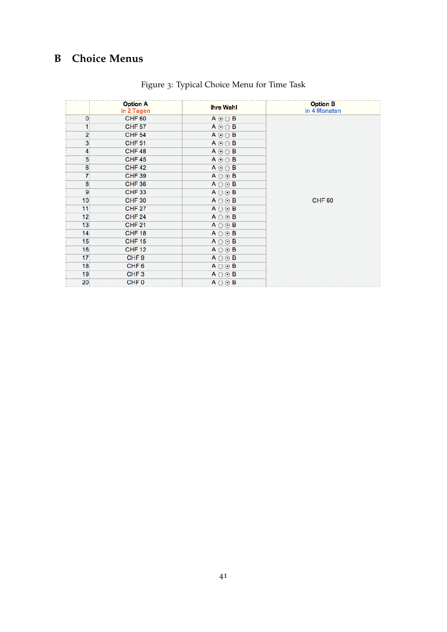## <span id="page-45-1"></span><span id="page-45-0"></span>**B Choice Menus**

|                  | <b>Option A</b><br>in 2 Tagen | <b>Ihre Wahl</b>     | <b>Option B</b><br>in 4 Monaten |
|------------------|-------------------------------|----------------------|---------------------------------|
| 0                | CHF <sub>60</sub>             | $A \odot \odot B$    |                                 |
| 1                | <b>CHF 57</b>                 | $A \odot \odot B$    |                                 |
| 2                | <b>CHF 54</b>                 | $A \odot \odot B$    |                                 |
| 3                | <b>CHF 51</b>                 | $A \odot \odot B$    |                                 |
| 4                | CHF <sub>48</sub>             | $A \odot \odot B$    |                                 |
| 5                | <b>CHF45</b>                  | $A \odot \odot B$    |                                 |
| $\boldsymbol{6}$ | <b>CHF42</b>                  | $A \odot \odot B$    |                                 |
| 7                | <b>CHF 39</b>                 | $A \bigcirc \odot B$ |                                 |
| 8                | CHF <sub>36</sub>             | $A \bigcirc \odot B$ |                                 |
| 9                | <b>CHF 33</b>                 | $A \bigcirc \odot B$ |                                 |
| 10               | <b>CHF 30</b>                 | $A \bigcirc \odot B$ | <b>CHF 60</b>                   |
| 11               | <b>CHF 27</b>                 | $A \bigcirc \odot B$ |                                 |
| 12               | <b>CHF 24</b>                 | $A \bigcirc \odot B$ |                                 |
| 13               | <b>CHF 21</b>                 | $A \bigcirc \odot B$ |                                 |
| 14               | <b>CHF 18</b>                 | $A \bigcirc \odot B$ |                                 |
| 15               | <b>CHF 15</b>                 | $A \bigcirc \odot B$ |                                 |
| 16               | <b>CHF 12</b>                 | $A \bigcirc \odot B$ |                                 |
| 17               | CHF <sub>9</sub>              | $A \bigcirc \odot B$ |                                 |
| 18               | CHF <sub>6</sub>              | $A \bigcirc \odot B$ |                                 |
| 19               | CHF <sub>3</sub>              | $A \bigcirc \odot B$ |                                 |
| 20               | CHF <sub>0</sub>              | $A \bigcirc \odot B$ |                                 |

## Figure 3: Typical Choice Menu for Time Task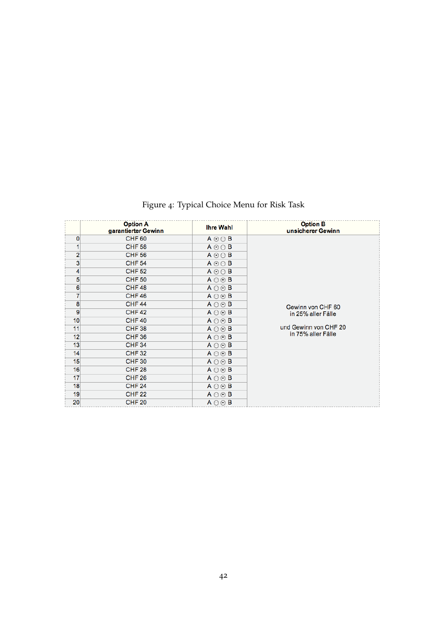<span id="page-46-0"></span>

|    | <b>Option A</b><br>garantierter Gewinn | <b>Ihre Wahl</b>     | <b>Option B</b><br>unsicherer Gewinn |
|----|----------------------------------------|----------------------|--------------------------------------|
| 0  | <b>CHF 60</b>                          | $A \odot \odot B$    |                                      |
| 1  | <b>CHF 58</b>                          | $A \odot \odot B$    |                                      |
| 2  | <b>CHF 56</b>                          | $A \odot \odot B$    |                                      |
| 3  | <b>CHF 54</b>                          | $A \odot \odot B$    |                                      |
| 4  | <b>CHF 52</b>                          | $A \odot \odot B$    |                                      |
| 5  | <b>CHF 50</b>                          | $A \bigcirc \odot B$ |                                      |
| 6  | <b>CHF48</b>                           | $A \bigcirc \odot B$ |                                      |
| 7  | <b>CHF 46</b>                          | $A \bigcirc \odot B$ |                                      |
| 8  | <b>CHF 44</b>                          | $A \bigcirc \odot B$ | Gewinn von CHF 60                    |
| 9  | <b>CHF42</b>                           | $A \bigcirc \odot B$ | in 25% aller Fälle                   |
| 10 | <b>CHF 40</b>                          | $A \bigcirc \odot B$ |                                      |
| 11 | <b>CHF 38</b>                          | $A \bigcirc \odot B$ | und Gewinn von CHF 20                |
| 12 | <b>CHF 36</b>                          | $A \bigcirc \odot B$ | in 75% aller Fälle                   |
| 13 | <b>CHF 34</b>                          | $A \bigcirc \odot B$ |                                      |
| 14 | <b>CHF32</b>                           | $A \bigcirc \odot B$ |                                      |
| 15 | <b>CHF 30</b>                          | $A \bigcirc \odot B$ |                                      |
| 16 | <b>CHF 28</b>                          | $A \bigcirc \odot B$ |                                      |
| 17 | <b>CHF 26</b>                          | $A \bigcirc \odot B$ |                                      |
| 18 | <b>CHF 24</b>                          | $A \bigcirc \odot B$ |                                      |
| 19 | <b>CHF 22</b>                          | $A \bigcirc \odot B$ |                                      |
| 20 | <b>CHF 20</b>                          | $A \bigcirc \odot B$ |                                      |

Figure 4: Typical Choice Menu for Risk Task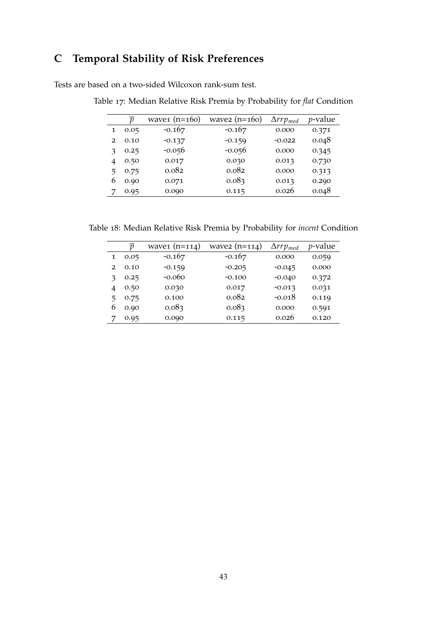## <span id="page-47-0"></span>**C Temporal Stability of Risk Preferences**

Tests are based on a two-sided Wilcoxon rank-sum test.

|   | $\boldsymbol{\eta}$ | wave $(n=160)$ | wave $(n=160)$ | $\Delta rrp_{med}$ | $p$ -value |
|---|---------------------|----------------|----------------|--------------------|------------|
| 1 | 0.05                | $-0.167$       | $-0.167$       | 0.000              | 0.371      |
| 2 | 0.10                | $-0.137$       | $-0.159$       | $-0.022$           | 0.048      |
| з | 0.25                | $-0.056$       | $-0.056$       | 0.000              | 0.345      |
| 4 | 0.50                | 0.017          | 0.030          | 0.013              | 0.730      |
| 5 | 0.75                | 0.082          | 0.082          | 0.000              | 0.313      |
| 6 | 0.90                | 0.071          | 0.083          | 0.013              | 0.290      |
| 7 | 0.95                | 0.090          | 0.115          | 0.026              | 0.048      |

Table 17: Median Relative Risk Premia by Probability for *flat* Condition

Table 18: Median Relative Risk Premia by Probability for *incent* Condition

|   | n    | wave $(n=114)$ | wave $(n=114)$ | $\Delta rrp_{med}$ | $p$ -value |
|---|------|----------------|----------------|--------------------|------------|
|   | 0.05 | $-0.167$       | $-0.167$       | 0.000              | 0.059      |
| 2 | 0.10 | $-0.159$       | $-0.205$       | $-0.045$           | 0.000      |
|   | 0.25 | $-0.060$       | $-0.100$       | $-0.040$           | 0.372      |
| 4 | 0.50 | 0.030          | 0.017          | $-0.013$           | 0.031      |
| 5 | 0.75 | 0.100          | 0.082          | $-0.018$           | 0.119      |
| 6 | 0.90 | 0.083          | 0.083          | 0.000              | 0.591      |
|   | 0.95 | 0.090          | 0.115          | 0.026              | 0.120      |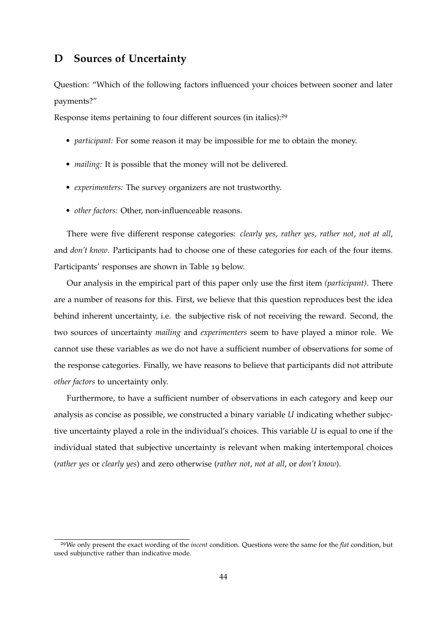### <span id="page-48-0"></span>**D Sources of Uncertainty**

Question: "Which of the following factors influenced your choices between sooner and later payments?"

Response items pertaining to four different sources (in italics):29

- *participant:* For some reason it may be impossible for me to obtain the money.
- *mailing:* It is possible that the money will not be delivered.
- *experimenters:* The survey organizers are not trustworthy.
- *other factors:* Other, non-influenceable reasons.

There were five different response categories: *clearly yes*, *rather yes*, *rather not*, *not at all*, and *don't know*. Participants had to choose one of these categories for each of the four items. Participants' responses are shown in Table [19](#page-49-0) below.

Our analysis in the empirical part of this paper only use the first item *(participant)*. There are a number of reasons for this. First, we believe that this question reproduces best the idea behind inherent uncertainty, i.e. the subjective risk of not receiving the reward. Second, the two sources of uncertainty *mailing* and *experimenters* seem to have played a minor role. We cannot use these variables as we do not have a sufficient number of observations for some of the response categories. Finally, we have reasons to believe that participants did not attribute *other factors* to uncertainty only.

Furthermore, to have a sufficient number of observations in each category and keep our analysis as concise as possible, we constructed a binary variable *U* indicating whether subjective uncertainty played a role in the individual's choices. This variable *U* is equal to one if the individual stated that subjective uncertainty is relevant when making intertemporal choices (*rather yes* or *clearly yes*) and zero otherwise (*rather not*, *not at all*, or *don't know*).

<sup>29</sup>We only present the exact wording of the *incent* condition. Questions were the same for the *flat* condition, but used subjunctive rather than indicative mode.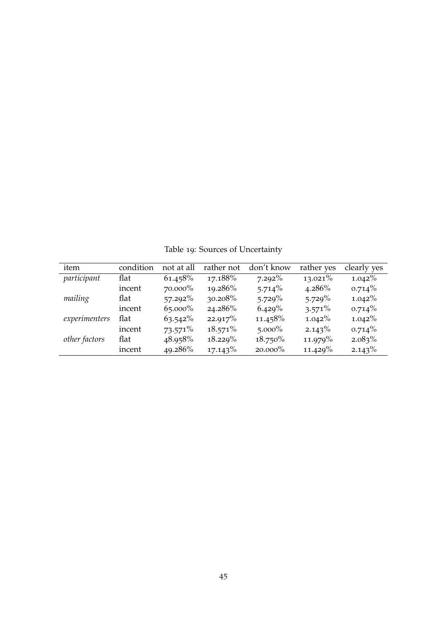Table 19: Sources of Uncertainty

<span id="page-49-0"></span>

| item          | condition | not at all | rather not | don't know | rather yes | clearly yes |
|---------------|-----------|------------|------------|------------|------------|-------------|
| participant   | flat      | 61.458%    | 17.188%    | $7.292\%$  | $13.021\%$ | $1.042\%$   |
|               | incent    | 70.000%    | 19.286%    | $5.714\%$  | $4.286\%$  | $0.714\%$   |
| mailing       | flat      | $57.292\%$ | 30.208%    | $5.729\%$  | $5.729\%$  | $1.042\%$   |
|               | incent    | $65.000\%$ | 24.286%    | 6.429%     | $3.571\%$  | $0.714\%$   |
| experimenters | flat      | $63.542\%$ | 22.917%    | 11.458%    | $1.042\%$  | $1.042\%$   |
|               | incent    | $73.571\%$ | $18.571\%$ | $5.000\%$  | $2.143\%$  | $0.714\%$   |
| other factors | flat      | 48.958%    | $18.229\%$ | $18.750\%$ | 11.979%    | $2.083\%$   |
|               | incent    | 49.286%    | 17.143%    | 20.000%    | $11.429\%$ | 2.143%      |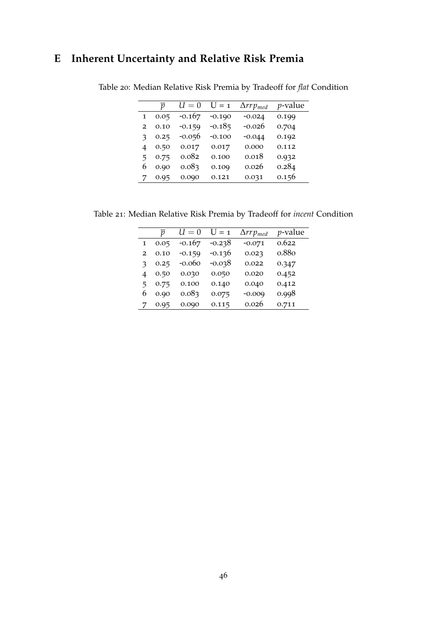## <span id="page-50-0"></span>**E Inherent Uncertainty and Relative Risk Premia**

|   | ŋ    | $U=0$    | $I = 1$  | $\Delta rrp_{med}$ | <i>p</i> -value |
|---|------|----------|----------|--------------------|-----------------|
| 1 | 0.05 | $-0.167$ | $-0.190$ | $-0.024$           | 0.199           |
| 2 | 0.10 | $-0.159$ | $-0.185$ | $-0.026$           | 0.704           |
| з | 0.25 | $-0.056$ | $-0.100$ | $-0.044$           | 0.192           |
| 4 | 0.50 | 0.017    | 0.017    | 0.000              | 0.112           |
| 5 | 0.75 | 0.082    | 0.100    | 0.018              | 0.932           |
| 6 | 0.90 | 0.083    | 0.109    | 0.026              | 0.284           |
|   | 0.95 | 0.090    | 0.121    | 0.031              | 0.156           |

Table 20: Median Relative Risk Premia by Tradeoff for *flat* Condition

Table 21: Median Relative Risk Premia by Tradeoff for *incent* Condition

|                | $\boldsymbol{v}$ | $U=0$    | $U = 1$  | $\Delta rrp_{med}$ | <i>p</i> -value |
|----------------|------------------|----------|----------|--------------------|-----------------|
| 1              | 0.05             | $-0.167$ | -0.238   | $-0.071$           | 0.622           |
| $\overline{2}$ | 0.10             | $-0.159$ | $-0.136$ | 0.023              | 0.880           |
| 3              | 0.25             | $-0.060$ | -0.038   | 0.022              | 0.347           |
| 4              | 0.50             | 0.030    | 0.050    | 0.020              | 0.452           |
| 5              | 0.75             | 0.100    | 0.140    | 0.040              | 0.412           |
| 6              | 0.90             | 0.083    | 0.075    | $-0.009$           | 0.998           |
| 7              | 0.95             | 0.090    | 0.115    | 0.026              | 0.711           |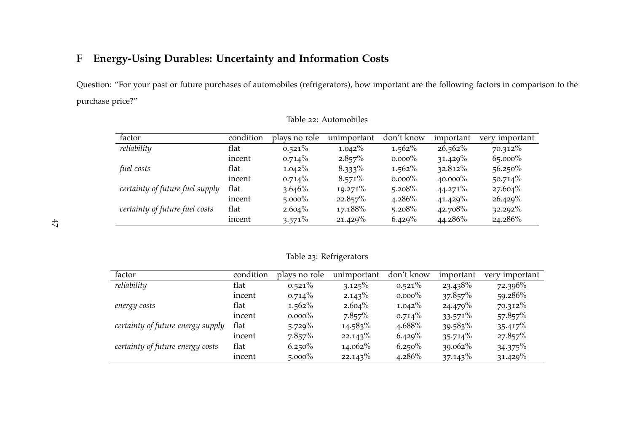## **<sup>F</sup> Energy-Using Durables: Uncertainty and Information Costs**

Question: "For your pas<sup>t</sup> or future purchases of automobiles (refrigerators), how important are the following factors in comparison to the purchase price?"

| factor                          | condition | plays no role | unimportant | don't know | important  | very important |
|---------------------------------|-----------|---------------|-------------|------------|------------|----------------|
| reliability                     | flat      | $0.521\%$     | $1.042\%$   | $1.562\%$  | $26.562\%$ | $70.312\%$     |
|                                 | incent    | $0.714\%$     | 2.857%      | $0.000\%$  | $31.429\%$ | 65.000%        |
| fuel costs                      | flat      | $1.042\%$     | $8.333\%$   | $1.562\%$  | $32.812\%$ | $56.250\%$     |
|                                 | incent    | $0.714\%$     | $8.571\%$   | $0.000\%$  | $40.000\%$ | $50.714\%$     |
| certainty of future fuel supply | flat      | $3.646\%$     | $19.271\%$  | 5.208%     | $44.271\%$ | $27.604\%$     |
|                                 | incent    | $5.000\%$     | 22.857%     | $4.286\%$  | $41.429\%$ | 26.429%        |
| certainty of future fuel costs  | flat      | $2.604\%$     | 17.188%     | 5.208%     | 42.708%    | $32.292\%$     |
|                                 | incent    | $3.571\%$     | $21.429\%$  | 6.429%     | 44.286%    | 24.286%        |

Table <sup>22</sup>: Automobiles

| Table 23: Refrigerators |
|-------------------------|
|                         |
|                         |

<span id="page-51-0"></span>

| factor                            | condition | plays no role | unimportant | don't know | important  | very important |
|-----------------------------------|-----------|---------------|-------------|------------|------------|----------------|
| reliability                       | flat      | $0.521\%$     | 3.125%      | $0.521\%$  | 23.438%    | 72.396%        |
|                                   | incent    | $0.714\%$     | $2.143\%$   | $0.000\%$  | 37.857%    | 59.286%        |
| energy costs                      | flat      | $1.562\%$     | $2.604\%$   | $1.042\%$  | 24.479%    | $70.312\%$     |
|                                   | incent    | $0.000\%$     | 7.857%      | $0.714\%$  | $33.571\%$ | 57.857%        |
| certainty of future energy supply | flat      | $5.729\%$     | $14.583\%$  | 4.688%     | 39.583%    | 35.417%        |
|                                   | incent    | 7.857%        | 22.143%     | 6.429%     | $35.714\%$ | 27.857%        |
| certainty of future energy costs  | flat      | $6.250\%$     | 14.062%     | $6.250\%$  | $39.062\%$ | 34.375%        |
|                                   | incent    | $5.000\%$     | 22.143%     | 4.286%     | $37.143\%$ | 31.429%        |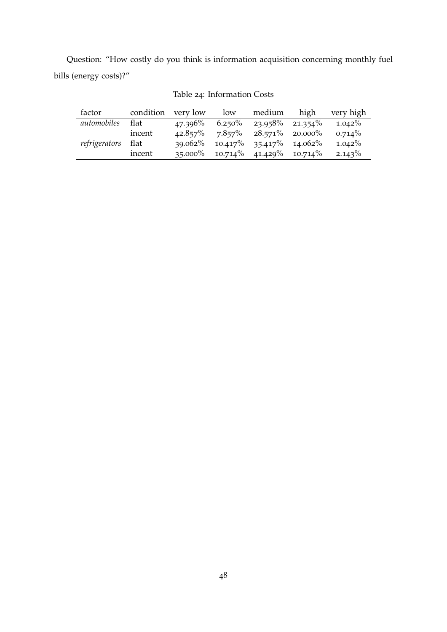<span id="page-52-0"></span>Question: "How costly do you think is information acquisition concerning monthly fuel bills (energy costs)?"

| factor        | condition | very low   | low        | medium             | high       | very high |
|---------------|-----------|------------|------------|--------------------|------------|-----------|
| automobiles   | flat      | $47.396\%$ | $6.250\%$  | $23.958\%$         | $21.354\%$ | $1.042\%$ |
|               | incent    | $42.857\%$ | $7.857\%$  | $28.571\%$ 20.000% |            | $0.714\%$ |
| refrigerators | flat      | $39.062\%$ | $10.417\%$ | 35.417%            | 14.062%    | $1.042\%$ |
|               | incent    | $35.000\%$ | $10.714\%$ | 41.429%            | $10.714\%$ | $2.143\%$ |

Table 24: Information Costs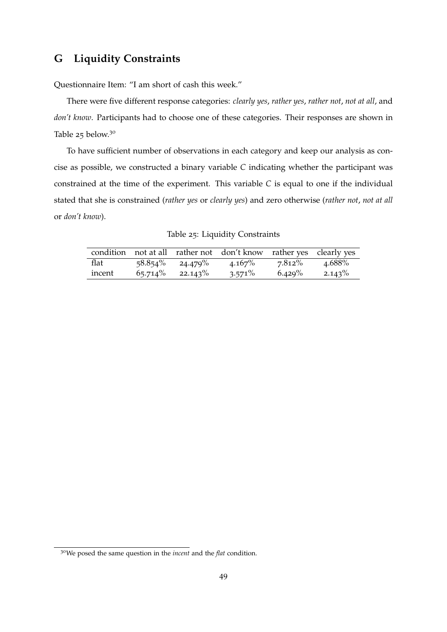### <span id="page-53-0"></span>**G Liquidity Constraints**

Questionnaire Item: "I am short of cash this week."

There were five different response categories: *clearly yes*, *rather yes*, *rather not*, *not at all*, and *don't know*. Participants had to choose one of these categories. Their responses are shown in Table [25](#page-53-1) below.30

To have sufficient number of observations in each category and keep our analysis as concise as possible, we constructed a binary variable *C* indicating whether the participant was constrained at the time of the experiment. This variable *C* is equal to one if the individual stated that she is constrained (*rather yes* or *clearly yes*) and zero otherwise (*rather not*, *not at all* or *don't know*).

<span id="page-53-1"></span>

|        |          |                    | condition not at all rather not don't know rather yes clearly yes |           |           |
|--------|----------|--------------------|-------------------------------------------------------------------|-----------|-----------|
| flat   |          | $58.854\%$ 24.479% | $4.167\%$                                                         | 7.812%    | 4.688%    |
| incent | 65.714\% | $22.143\%$         | $3.571\%$                                                         | $6.429\%$ | $2.143\%$ |

|  | Table 25: Liquidity Constraints |  |
|--|---------------------------------|--|
|  |                                 |  |

<sup>30</sup>We posed the same question in the *incent* and the *flat* condition.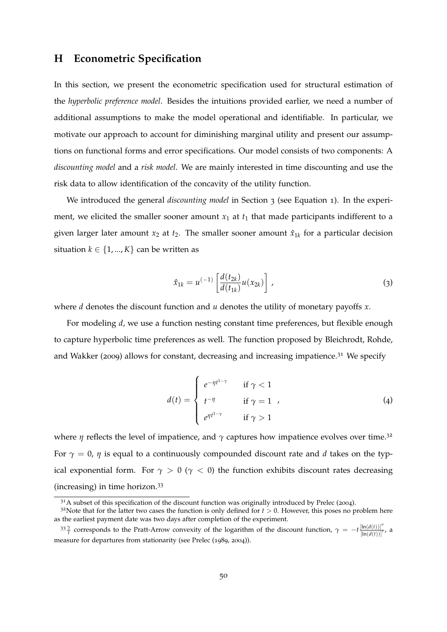#### <span id="page-54-0"></span>**H Econometric Specification**

In this section, we present the econometric specification used for structural estimation of the *hyperbolic preference model*. Besides the intuitions provided earlier, we need a number of additional assumptions to make the model operational and identifiable. In particular, we motivate our approach to account for diminishing marginal utility and present our assumptions on functional forms and error specifications. Our model consists of two components: A *discounting model* and a *risk model*. We are mainly interested in time discounting and use the risk data to allow identification of the concavity of the utility function.

We introduced the general *discounting model* in Section [3](#page-10-0) (see Equation [1](#page-10-1)). In the experiment, we elicited the smaller sooner amount  $x_1$  at  $t_1$  that made participants indifferent to a given larger later amount  $x_2$  at  $t_2$ . The smaller sooner amount  $\hat{x}_{1k}$  for a particular decision situation  $k \in \{1, ..., K\}$  can be written as

<span id="page-54-1"></span>
$$
\hat{x}_{1k} = u^{(-1)} \left[ \frac{d(t_{2k})}{d(t_{1k})} u(x_{2k}) \right],
$$
\n(3)

<span id="page-54-2"></span>where *d* denotes the discount function and *u* denotes the utility of monetary payoffs *x*.

For modeling *d*, we use a function nesting constant time preferences, but flexible enough to capture hyperbolic time preferences as well. The function proposed by [Bleichrodt, Rohde,](#page-62-6) [and Wakker](#page-62-6) ([2009](#page-62-6)) allows for constant, decreasing and increasing impatience.<sup>31</sup> We specify

$$
d(t) = \begin{cases} e^{-\eta t^{1-\gamma}} & \text{if } \gamma < 1\\ t^{-\eta} & \text{if } \gamma = 1\\ e^{\eta t^{1-\gamma}} & \text{if } \gamma > 1 \end{cases}
$$
 (4)

where  $\eta$  reflects the level of impatience, and  $\gamma$  captures how impatience evolves over time.<sup>32</sup> For  $\gamma = 0$ ,  $\eta$  is equal to a continuously compounded discount rate and *d* takes on the typical exponential form. For  $\gamma > 0$  ( $\gamma < 0$ ) the function exhibits discount rates decreasing (increasing) in time horizon.33

 $3<sup>1</sup>A$  subset of this specification of the discount function was originally introduced by [Prelec](#page-63-8) ([2004](#page-63-8)).

 $3<sup>2</sup>$ Note that for the latter two cases the function is only defined for  $t > 0$ . However, this poses no problem here as the earliest payment date was two days after completion of the experiment.

<sup>&</sup>lt;sup>33</sup> $\frac{\gamma}{t}$  corresponds to the Pratt-Arrow convexity of the logarithm of the discount function,  $\gamma = -t \frac{\left[\ln(d(t))\right]''}{\left[\ln(d(t))\right]'}$ , a measure for departures from stationarity (see [Prelec](#page-63-9) ([1989](#page-63-9), [2004](#page-63-8))).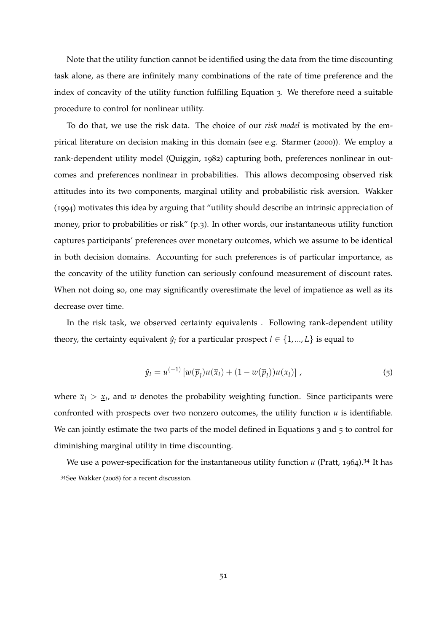Note that the utility function cannot be identified using the data from the time discounting task alone, as there are infinitely many combinations of the rate of time preference and the index of concavity of the utility function fulfilling Equation [3](#page-54-2). We therefore need a suitable procedure to control for nonlinear utility.

To do that, we use the risk data. The choice of our *risk model* is motivated by the empirical literature on decision making in this domain (see e.g. [Starmer](#page-64-4) ([2000](#page-64-4))). We employ a rank-dependent utility model [\(Quiggin,](#page-63-3) [1982](#page-63-3)) capturing both, preferences nonlinear in outcomes and preferences nonlinear in probabilities. This allows decomposing observed risk attitudes into its two components, marginal utility and probabilistic risk aversion. [Wakker](#page-64-2) ([1994](#page-64-2)) motivates this idea by arguing that "utility should describe an intrinsic appreciation of money, prior to probabilities or risk" (p.3). In other words, our instantaneous utility function captures participants' preferences over monetary outcomes, which we assume to be identical in both decision domains. Accounting for such preferences is of particular importance, as the concavity of the utility function can seriously confound measurement of discount rates. When not doing so, one may significantly overestimate the level of impatience as well as its decrease over time.

<span id="page-55-0"></span>In the risk task, we observed certainty equivalents . Following rank-dependent utility theory, the certainty equivalent  $\hat{y}_l$  for a particular prospect  $l \in \{1, ..., L\}$  is equal to

$$
\hat{y}_l = u^{(-1)} \left[ w(\overline{p}_l) u(\overline{x}_l) + (1 - w(\overline{p}_l)) u(\underline{x}_l) \right], \tag{5}
$$

where  $\bar{x}_l > \underline{x}_l$ , and *w* denotes the probability weighting function. Since participants were confronted with prospects over two nonzero outcomes, the utility function *u* is identifiable. We can jointly estimate the two parts of the model defined in Equations [3](#page-54-2) and [5](#page-55-0) to control for diminishing marginal utility in time discounting.

We use a power-specification for the instantaneous utility function *u* [\(Pratt,](#page-63-10) [1964](#page-63-10)).<sup>34</sup> It has <sup>34</sup>See [Wakker](#page-64-5) ([2008](#page-64-5)) for a recent discussion.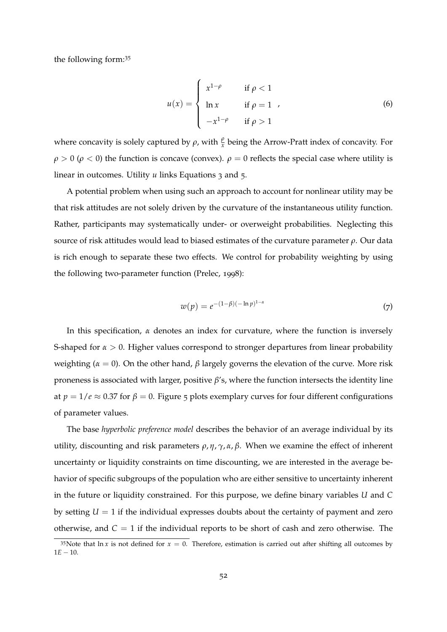the following form:35

$$
u(x) = \begin{cases} x^{1-\rho} & \text{if } \rho < 1 \\ \ln x & \text{if } \rho = 1 \\ -x^{1-\rho} & \text{if } \rho > 1 \end{cases}
$$
 (6)

where concavity is solely captured by  $\rho$ , with  $\frac{\rho}{x}$  being the Arrow-Pratt index of concavity. For  $\rho > 0$  ( $\rho < 0$ ) the function is concave (convex).  $\rho = 0$  reflects the special case where utility is linear in outcomes. Utility *u* links Equations [3](#page-54-2) and [5](#page-55-0).

A potential problem when using such an approach to account for nonlinear utility may be that risk attitudes are not solely driven by the curvature of the instantaneous utility function. Rather, participants may systematically under- or overweight probabilities. Neglecting this source of risk attitudes would lead to biased estimates of the curvature parameter  $\rho$ . Our data is rich enough to separate these two effects. We control for probability weighting by using the following two-parameter function [\(Prelec,](#page-63-11) [1998](#page-63-11)):

$$
w(p) = e^{-(1-\beta)(-\ln p)^{1-\alpha}} \tag{7}
$$

In this specification,  $\alpha$  denotes an index for curvature, where the function is inversely S-shaped for  $\alpha > 0$ . Higher values correspond to stronger departures from linear probability weighting ( $\alpha = 0$ ). On the other hand,  $\beta$  largely governs the elevation of the curve. More risk proneness is associated with larger, positive *b*'s, where the function intersects the identity line at  $p = 1/e \approx 0.37$  for  $\beta = 0$ . Figure [5](#page-57-0) plots exemplary curves for four different configurations of parameter values.

The base *hyperbolic preference model* describes the behavior of an average individual by its utility, discounting and risk parameters  $\rho$ ,  $\eta$ ,  $\gamma$ ,  $\alpha$ ,  $\beta$ . When we examine the effect of inherent uncertainty or liquidity constraints on time discounting, we are interested in the average behavior of specific subgroups of the population who are either sensitive to uncertainty inherent in the future or liquidity constrained. For this purpose, we define binary variables *U* and *C* by setting  $U = 1$  if the individual expresses doubts about the certainty of payment and zero otherwise, and  $C = 1$  if the individual reports to be short of cash and zero otherwise. The

<sup>&</sup>lt;sup>35</sup>Note that  $\ln x$  is not defined for  $x = 0$ . Therefore, estimation is carried out after shifting all outcomes by  $1E - 10$ .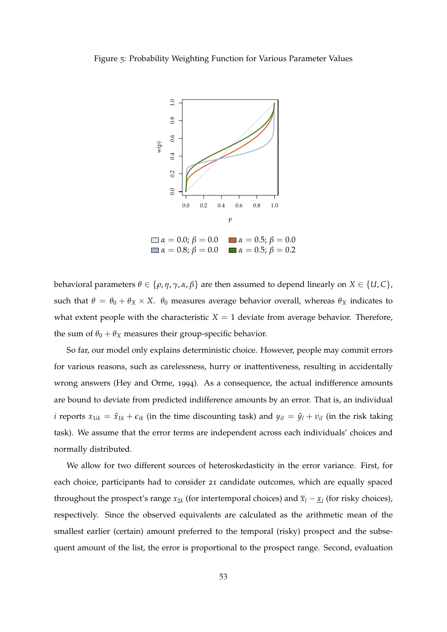<span id="page-57-0"></span>



behavioral parameters  $\theta \in {\rho, \eta, \gamma, \alpha, \beta}$  are then assumed to depend linearly on  $X \in \{U, C\}$ , such that  $\theta = \theta_0 + \theta_X \times X$ .  $\theta_0$  measures average behavior overall, whereas  $\theta_X$  indicates to what extent people with the characteristic  $X = 1$  deviate from average behavior. Therefore, the sum of  $\theta_0 + \theta_X$  measures their group-specific behavior.

So far, our model only explains deterministic choice. However, people may commit errors for various reasons, such as carelessness, hurry or inattentiveness, resulting in accidentally wrong answers [\(Hey and Orme,](#page-62-5) [1994](#page-62-5)). As a consequence, the actual indifference amounts are bound to deviate from predicted indifference amounts by an error. That is, an individual *i* reports  $x_{1ik} = \hat{x}_{1k} + \epsilon_{ik}$  (in the time discounting task) and  $y_{il} = \hat{y}_l + v_{il}$  (in the risk taking task). We assume that the error terms are independent across each individuals' choices and normally distributed.

We allow for two different sources of heteroskedasticity in the error variance. First, for each choice, participants had to consider 21 candidate outcomes, which are equally spaced throughout the prospect's range  $x_{2k}$  (for intertemporal choices) and  $\overline{x}_l - \underline{x}_l$  (for risky choices), respectively. Since the observed equivalents are calculated as the arithmetic mean of the smallest earlier (certain) amount preferred to the temporal (risky) prospect and the subsequent amount of the list, the error is proportional to the prospect range. Second, evaluation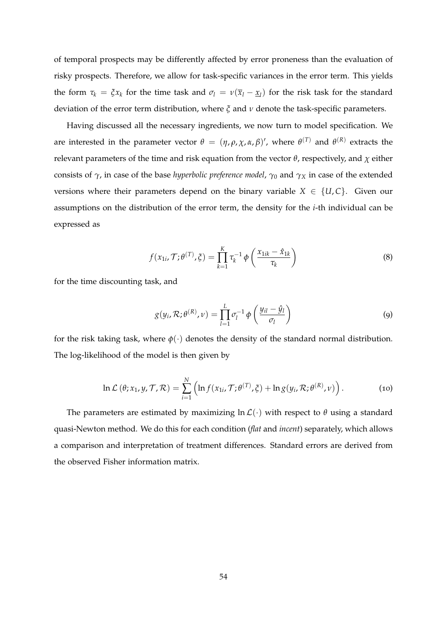of temporal prospects may be differently affected by error proneness than the evaluation of risky prospects. Therefore, we allow for task-specific variances in the error term. This yields the form  $\tau_k = \xi x_k$  for the time task and  $\sigma_l = v(\overline{x}_l - \underline{x}_l)$  for the risk task for the standard deviation of the error term distribution, where  $\zeta$  and  $\nu$  denote the task-specific parameters.

Having discussed all the necessary ingredients, we now turn to model specification. We are interested in the parameter vector  $\theta = (\eta, \rho, \chi, \alpha, \beta)'$ , where  $\theta^{(T)}$  and  $\theta^{(R)}$  extracts the relevant parameters of the time and risk equation from the vector  $\theta$ , respectively, and  $\chi$  either consists of  $\gamma$ , in case of the base *hyperbolic preference model*,  $\gamma_0$  and  $\gamma_X$  in case of the extended versions where their parameters depend on the binary variable  $X \in \{U, C\}$ . Given our assumptions on the distribution of the error term, the density for the *i*-th individual can be expressed as

$$
f(x_{1i}, \mathcal{T}; \theta^{(T)}, \xi) = \prod_{k=1}^{K} \tau_k^{-1} \phi\left(\frac{x_{1ik} - \hat{x}_{1k}}{\tau_k}\right)
$$
(8)

for the time discounting task, and

$$
g(y_i, \mathcal{R}; \theta^{(R)}, \nu) = \prod_{l=1}^{L} \sigma_l^{-1} \phi\left(\frac{y_{il} - \hat{y}_l}{\sigma_l}\right)
$$
(9)

for the risk taking task, where  $\phi(\cdot)$  denotes the density of the standard normal distribution. The log-likelihood of the model is then given by

$$
\ln \mathcal{L}(\theta; x_1, y, \mathcal{T}, \mathcal{R}) = \sum_{i=1}^N \left( \ln f(x_{1i}, \mathcal{T}; \theta^{(T)}, \xi) + \ln g(y_i, \mathcal{R}; \theta^{(R)}, \nu) \right). \tag{10}
$$

The parameters are estimated by maximizing  $\ln \mathcal{L}(\cdot)$  with respect to  $\theta$  using a standard quasi-Newton method. We do this for each condition (*flat* and *incent*) separately, which allows a comparison and interpretation of treatment differences. Standard errors are derived from the observed Fisher information matrix.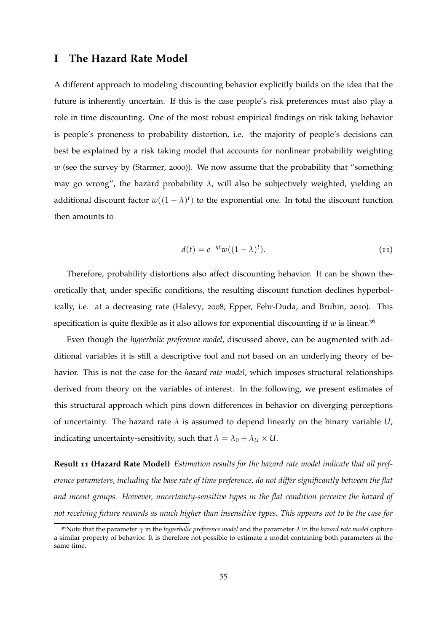#### <span id="page-59-0"></span>**I The Hazard Rate Model**

A different approach to modeling discounting behavior explicitly builds on the idea that the future is inherently uncertain. If this is the case people's risk preferences must also play a role in time discounting. One of the most robust empirical findings on risk taking behavior is people's proneness to probability distortion, i.e. the majority of people's decisions can best be explained by a risk taking model that accounts for nonlinear probability weighting *w* (see the survey by [\(Starmer,](#page-64-4) [2000](#page-64-4))). We now assume that the probability that "something may go wrong", the hazard probability  $\lambda$ , will also be subjectively weighted, yielding an additional discount factor  $w((1 - \lambda)^t)$  to the exponential one. In total the discount function then amounts to

<span id="page-59-1"></span>
$$
d(t) = e^{-\eta t} w((1 - \lambda)^t). \tag{11}
$$

Therefore, probability distortions also affect discounting behavior. It can be shown theoretically that, under specific conditions, the resulting discount function declines hyperbolically, i.e. at a decreasing rate [\(Halevy,](#page-62-2) [2008](#page-62-2); [Epper, Fehr-Duda, and Bruhin,](#page-62-3) [2010](#page-62-3)). This specification is quite flexible as it also allows for exponential discounting if  $w$  is linear.<sup>36</sup>

Even though the *hyperbolic preference model*, discussed above, can be augmented with additional variables it is still a descriptive tool and not based on an underlying theory of behavior. This is not the case for the *hazard rate model*, which imposes structural relationships derived from theory on the variables of interest. In the following, we present estimates of this structural approach which pins down differences in behavior on diverging perceptions of uncertainty. The hazard rate  $\lambda$  is assumed to depend linearly on the binary variable  $U$ , indicating uncertainty-sensitivity, such that  $\lambda = \lambda_0 + \lambda_U \times U$ .

**Result 11 (Hazard Rate Model)** *Estimation results for the hazard rate model indicate that all preference parameters, including the base rate of time preference, do not differ significantly between the flat and incent groups. However, uncertainty-sensitive types in the flat condition perceive the hazard of not receiving future rewards as much higher than insensitive types. This appears not to be the case for*

<sup>&</sup>lt;sup>36</sup>Note that the parameter  $\gamma$  in the *hyperbolic preference model* and the parameter  $\lambda$  in the *hazard rate model* capture a similar property of behavior. It is therefore not possible to estimate a model containing both parameters at the same time.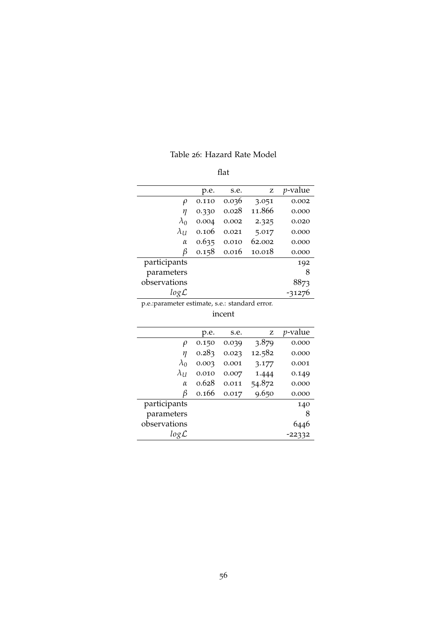<span id="page-60-0"></span>

|              | p.e.  | s.e.  | z      | <i>p</i> -value |
|--------------|-------|-------|--------|-----------------|
| $\rho$       | 0.110 | 0.036 | 3.051  | 0.002           |
| η            | 0.330 | 0.028 | 11.866 | 0.000           |
| $\lambda_0$  | 0.004 | 0.002 | 2.325  | 0.020           |
| $\lambda_U$  | 0.106 | 0.021 | 5.017  | 0.000           |
| $\alpha$     | 0.635 | 0.010 | 62.002 | 0.000           |
| β            | 0.158 | 0.016 | 10.018 | 0.000           |
| participants |       |       |        | 192             |
| parameters   |       |       |        | 8               |
| observations |       |       |        | 8873            |
| logL         |       |       |        | -31276          |

p.e.:parameter estimate, s.e.: standard error.

| ٠٠.<br>Г<br>C | I |
|---------------|---|

|                  | p.e.  | s.e.  | z      | <i>p</i> -value |
|------------------|-------|-------|--------|-----------------|
| $\rho$           | 0.150 | 0.039 | 3.879  | 0.000           |
| η                | 0.283 | 0.023 | 12.582 | 0.000           |
| $\lambda_0$      | 0.003 | 0.001 | 3.177  | 0.001           |
| $\lambda_U$      | 0.010 | 0.007 | 1.444  | 0.149           |
| $\alpha$         | 0.628 | 0.011 | 54.872 | 0.000           |
| β                | 0.166 | 0.017 | 9.650  | 0.000           |
| participants     |       |       |        | 140             |
| parameters       |       |       |        | 8               |
| observations     |       |       |        |                 |
| $log\mathcal{L}$ |       |       |        | -22332          |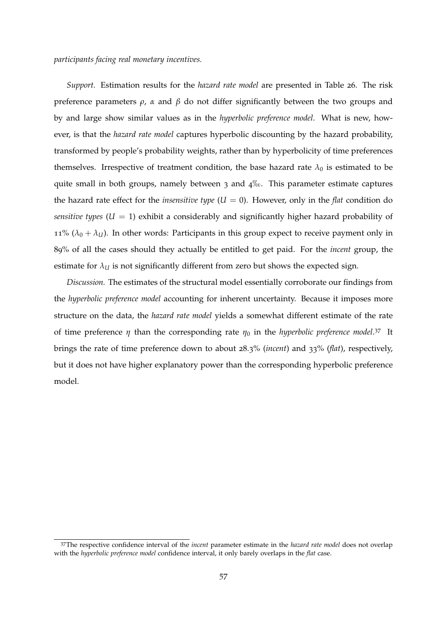#### *participants facing real monetary incentives.*

*Support.* Estimation results for the *hazard rate model* are presented in Table [26](#page-60-0). The risk preference parameters  $\rho$ ,  $\alpha$  and  $\beta$  do not differ significantly between the two groups and by and large show similar values as in the *hyperbolic preference model*. What is new, however, is that the *hazard rate model* captures hyperbolic discounting by the hazard probability, transformed by people's probability weights, rather than by hyperbolicity of time preferences themselves. Irrespective of treatment condition, the base hazard rate  $\lambda_0$  is estimated to be quite small in both groups, namely between  $3$  and  $4\%$ . This parameter estimate captures the hazard rate effect for the *insensitive type*  $(U = 0)$ . However, only in the *flat* condition do *sensitive types*  $(U = 1)$  exhibit a considerably and significantly higher hazard probability of 11%  $(\lambda_0 + \lambda_U)$ . In other words: Participants in this group expect to receive payment only in 89% of all the cases should they actually be entitled to get paid. For the *incent* group, the estimate for  $\lambda$ *U* is not significantly different from zero but shows the expected sign.

*Discussion.* The estimates of the structural model essentially corroborate our findings from the *hyperbolic preference model* accounting for inherent uncertainty. Because it imposes more structure on the data, the *hazard rate model* yields a somewhat different estimate of the rate of time preference  $\eta$  than the corresponding rate  $\eta_0$  in the *hyperbolic preference model*.<sup>37</sup> It brings the rate of time preference down to about 28.3% (*incent*) and 33% (*flat*), respectively, but it does not have higher explanatory power than the corresponding hyperbolic preference model.

<sup>37</sup>The respective confidence interval of the *incent* parameter estimate in the *hazard rate model* does not overlap with the *hyperbolic preference model* confidence interval, it only barely overlaps in the *flat* case.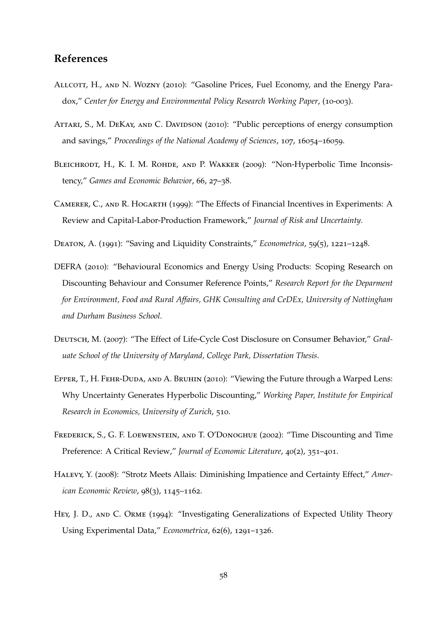### **References**

- <span id="page-62-10"></span>ALLCOTT, H., AND N. WOZNY (2010): "Gasoline Prices, Fuel Economy, and the Energy Paradox," *Center for Energy and Environmental Policy Research Working Paper*, (10-003).
- <span id="page-62-8"></span>ATTARI, S., M. DEKAY, AND C. DAVIDSON (2010): "Public perceptions of energy consumption and savings," *Proceedings of the National Academy of Sciences*, 107, 16054–16059.
- <span id="page-62-6"></span>BLEICHRODT, H., K. I. M. ROHDE, AND P. WAKKER (2009): "Non-Hyperbolic Time Inconsistency," *Games and Economic Behavior*, 66, 27–38.
- <span id="page-62-4"></span>Camerer, C., and R. Hogarth (1999): "The Effects of Financial Incentives in Experiments: A Review and Capital-Labor-Production Framework," *Journal of Risk and Uncertainty*.
- <span id="page-62-7"></span>Deaton, A. (1991): "Saving and Liquidity Constraints," *Econometrica*, 59(5), 1221–1248.
- <span id="page-62-1"></span>DEFRA (2010): "Behavioural Economics and Energy Using Products: Scoping Research on Discounting Behaviour and Consumer Reference Points," *Research Report for the Deparment for Environment, Food and Rural Affairs, GHK Consulting and CeDEx, University of Nottingham and Durham Business School*.
- <span id="page-62-9"></span>Deutsch, M. (2007): "The Effect of Life-Cycle Cost Disclosure on Consumer Behavior," *Graduate School of the University of Maryland, College Park, Dissertation Thesis*.
- <span id="page-62-3"></span>EPPER, T., H. FEHR-DUDA, AND A. BRUHIN (2010): "Viewing the Future through a Warped Lens: Why Uncertainty Generates Hyperbolic Discounting," *Working Paper, Institute for Empirical Research in Economics, University of Zurich*, 510.
- <span id="page-62-0"></span>Frederick, S., G. F. Loewenstein, and T. O'Donoghue (2002): "Time Discounting and Time Preference: A Critical Review," *Journal of Economic Literature*, 40(2), 351–401.
- <span id="page-62-2"></span>Halevy, Y. (2008): "Strotz Meets Allais: Diminishing Impatience and Certainty Effect," *American Economic Review*, 98(3), 1145–1162.
- <span id="page-62-5"></span>HEY, J. D., AND C. ORME (1994): "Investigating Generalizations of Expected Utility Theory Using Experimental Data," *Econometrica*, 62(6), 1291–1326.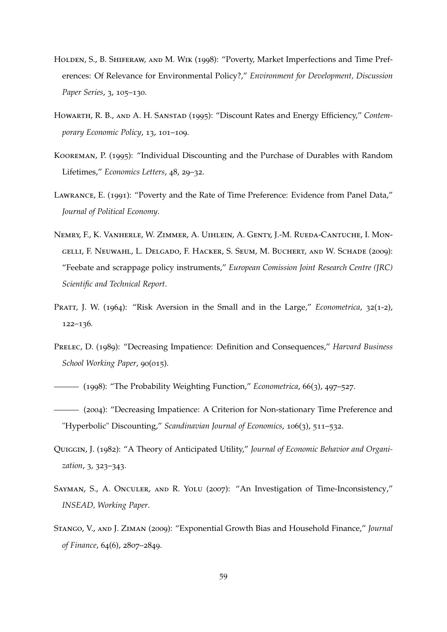- <span id="page-63-4"></span>HOLDEN, S., B. SHIFERAW, AND M. WIK (1998): "Poverty, Market Imperfections and Time Preferences: Of Relevance for Environmental Policy?," *Environment for Development, Discussion Paper Series*, 3, 105–130.
- <span id="page-63-0"></span>Howarth, R. B., and A. H. Sanstad (1995): "Discount Rates and Energy Efficiency," *Contemporary Economic Policy*, 13, 101–109.
- <span id="page-63-5"></span>Kooreman, P. (1995): "Individual Discounting and the Purchase of Durables with Random Lifetimes," *Economics Letters*, 48, 29–32.
- <span id="page-63-1"></span>Lawrance, E. (1991): "Poverty and the Rate of Time Preference: Evidence from Panel Data," *Journal of Political Economy*.
- <span id="page-63-7"></span>Nemry, F., K. Vanherle, W. Zimmer, A. Uihlein, A. Genty, J.-M. Rueda-Cantuche, I. Mongelli, F. Neuwahl, L. Delgado, F. Hacker, S. Seum, M. Buchert, and W. Schade (2009): "Feebate and scrappage policy instruments," *European Comission Joint Research Centre (JRC) Scientific and Technical Report*.
- <span id="page-63-10"></span>PRATT, J. W. (1964): "Risk Aversion in the Small and in the Large," *Econometrica*, 32(1-2), 122–136.
- <span id="page-63-9"></span>Prelec, D. (1989): "Decreasing Impatience: Definition and Consequences," *Harvard Business School Working Paper*, 90(015).
- <span id="page-63-11"></span>(1998): "The Probability Weighting Function," *Econometrica*, 66(3), 497–527.
- <span id="page-63-8"></span>(2004): "Decreasing Impatience: A Criterion for Non-stationary Time Preference and "Hyperbolic" Discounting," *Scandinavian Journal of Economics*, 106(3), 511–532.
- <span id="page-63-3"></span>Quiggin, J. (1982): "A Theory of Anticipated Utility," *Journal of Economic Behavior and Organization*, 3, 323–343.
- <span id="page-63-2"></span>Sayman, S., A. Onculer, and R. Yolu (2007): "An Investigation of Time-Inconsistency," *INSEAD, Working Paper*.
- <span id="page-63-6"></span>Stango, V., and J. Ziman (2009): "Exponential Growth Bias and Household Finance," *Journal of Finance*, 64(6), 2807–2849.